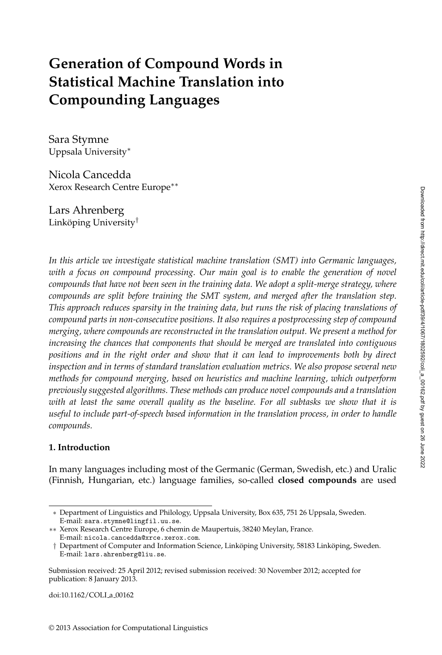# **Generation of Compound Words in Statistical Machine Translation into Compounding Languages**

Sara Stymne Uppsala University∗

Nicola Cancedda Xerox Research Centre Europe∗∗

Lars Ahrenberg Linköping University $^{\dagger}$ 

*In this article we investigate statistical machine translation (SMT) into Germanic languages, with a focus on compound processing. Our main goal is to enable the generation of novel compounds that have not been seen in the training data. We adopt a split-merge strategy, where compounds are split before training the SMT system, and merged after the translation step. This approach reduces sparsity in the training data, but runs the risk of placing translations of compound parts in non-consecutive positions. It also requires a postprocessing step of compound merging, where compounds are reconstructed in the translation output. We present a method for increasing the chances that components that should be merged are translated into contiguous positions and in the right order and show that it can lead to improvements both by direct inspection and in terms of standard translation evaluation metrics. We also propose several new methods for compound merging, based on heuristics and machine learning, which outperform previously suggested algorithms. These methods can produce novel compounds and a translation with at least the same overall quality as the baseline. For all subtasks we show that it is useful to include part-of-speech based information in the translation process, in order to handle compounds.*

# **1. Introduction**

In many languages including most of the Germanic (German, Swedish, etc.) and Uralic (Finnish, Hungarian, etc.) language families, so-called **closed compounds** are used

doi:10.1162/COLI\_a\_00162

<sup>∗</sup> Department of Linguistics and Philology, Uppsala University, Box 635, 751 26 Uppsala, Sweden. E-mail: sara.stymne@lingfil.uu.se.

<sup>∗∗</sup> Xerox Research Centre Europe, 6 chemin de Maupertuis, 38240 Meylan, France. E-mail: nicola.cancedda@xrce.xerox.com.

 $\dagger$  Department of Computer and Information Science, Linköping University, 58183 Linköping, Sweden. E-mail: lars.ahrenberg@liu.se.

Submission received: 25 April 2012; revised submission received: 30 November 2012; accepted for publication: 8 January 2013.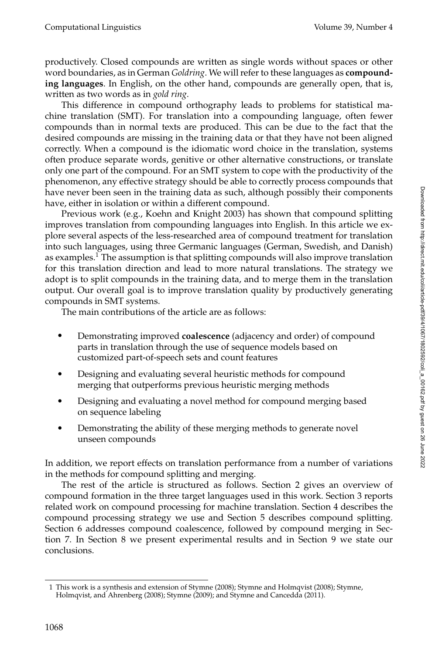productively. Closed compounds are written as single words without spaces or other word boundaries, as in German *Goldring*. We will refer to these languages as **compounding languages**. In English, on the other hand, compounds are generally open, that is, written as two words as in *gold ring*.

This difference in compound orthography leads to problems for statistical machine translation (SMT). For translation into a compounding language, often fewer compounds than in normal texts are produced. This can be due to the fact that the desired compounds are missing in the training data or that they have not been aligned correctly. When a compound is the idiomatic word choice in the translation, systems often produce separate words, genitive or other alternative constructions, or translate only one part of the compound. For an SMT system to cope with the productivity of the phenomenon, any effective strategy should be able to correctly process compounds that have never been seen in the training data as such, although possibly their components have, either in isolation or within a different compound.

Previous work (e.g., Koehn and Knight 2003) has shown that compound splitting improves translation from compounding languages into English. In this article we explore several aspects of the less-researched area of compound treatment for translation into such languages, using three Germanic languages (German, Swedish, and Danish) as examples.<sup>1</sup> The assumption is that splitting compounds will also improve translation for this translation direction and lead to more natural translations. The strategy we adopt is to split compounds in the training data, and to merge them in the translation output. Our overall goal is to improve translation quality by productively generating compounds in SMT systems.

The main contributions of the article are as follows:

- Demonstrating improved **coalescence** (adjacency and order) of compound parts in translation through the use of sequence models based on customized part-of-speech sets and count features
- Designing and evaluating several heuristic methods for compound merging that outperforms previous heuristic merging methods
- Designing and evaluating a novel method for compound merging based on sequence labeling
- Demonstrating the ability of these merging methods to generate novel unseen compounds

In addition, we report effects on translation performance from a number of variations in the methods for compound splitting and merging.

The rest of the article is structured as follows. Section 2 gives an overview of compound formation in the three target languages used in this work. Section 3 reports related work on compound processing for machine translation. Section 4 describes the compound processing strategy we use and Section 5 describes compound splitting. Section 6 addresses compound coalescence, followed by compound merging in Section 7. In Section 8 we present experimental results and in Section 9 we state our conclusions.

<sup>1</sup> This work is a synthesis and extension of Stymne (2008); Stymne and Holmqvist (2008); Stymne, Holmqvist, and Ahrenberg (2008); Stymne (2009); and Stymne and Cancedda (2011).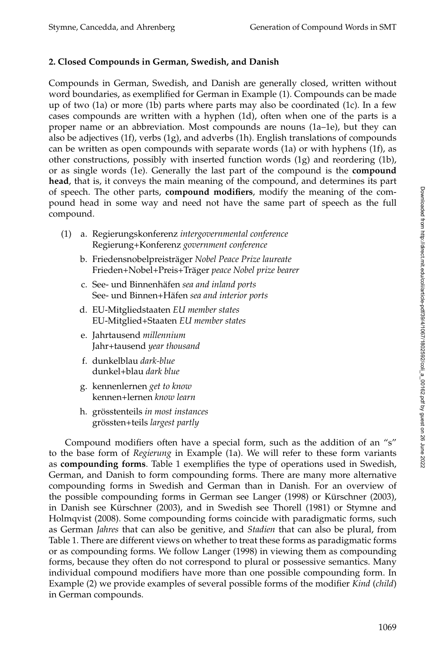# **2. Closed Compounds in German, Swedish, and Danish**

Compounds in German, Swedish, and Danish are generally closed, written without word boundaries, as exemplified for German in Example (1). Compounds can be made up of two (1a) or more (1b) parts where parts may also be coordinated (1c). In a few cases compounds are written with a hyphen (1d), often when one of the parts is a proper name or an abbreviation. Most compounds are nouns (1a–1e), but they can also be adjectives  $(1f)$ , verbs  $(1g)$ , and adverbs  $(1h)$ . English translations of compounds can be written as open compounds with separate words (1a) or with hyphens (1f), as other constructions, possibly with inserted function words (1g) and reordering (1b), or as single words (1e). Generally the last part of the compound is the **compound head**, that is, it conveys the main meaning of the compound, and determines its part of speech. The other parts, **compound modifiers**, modify the meaning of the compound head in some way and need not have the same part of speech as the full compound.

- (1) a. Regierungskonferenz *intergovernmental conference* Regierung+Konferenz *government conference*
	- b. Friedensnobelpreisträger Nobel Peace Prize laureate Frieden+Nobel+Preis+Träger peace Nobel prize bearer
	- c. See- und Binnenhäfen sea and inland ports See- und Binnen+Häfen sea and interior ports
	- d. EU-Mitgliedstaaten *EU member states* EU-Mitglied+Staaten *EU member states*
	- e. Jahrtausend *millennium* Jahr+tausend *year thousand*
	- f. dunkelblau *dark-blue* dunkel+blau *dark blue*
	- g. kennenlernen *get to know* kennen+lernen *know learn*
	- h. grösstenteils *in most instances* grossten+teils ¨ *largest partly*

Compound modifiers often have a special form, such as the addition of an "s" to the base form of *Regierung* in Example (1a). We will refer to these form variants as **compounding forms**. Table 1 exemplifies the type of operations used in Swedish, German, and Danish to form compounding forms. There are many more alternative compounding forms in Swedish and German than in Danish. For an overview of the possible compounding forms in German see Langer (1998) or Kürschner (2003), in Danish see Kürschner (2003), and in Swedish see Thorell (1981) or Stymne and Holmqvist (2008). Some compounding forms coincide with paradigmatic forms, such as German *Jahres* that can also be genitive, and *Stadien* that can also be plural, from Table 1. There are different views on whether to treat these forms as paradigmatic forms or as compounding forms. We follow Langer (1998) in viewing them as compounding forms, because they often do not correspond to plural or possessive semantics. Many individual compound modifiers have more than one possible compounding form. In Example (2) we provide examples of several possible forms of the modifier *Kind* (*child*) in German compounds.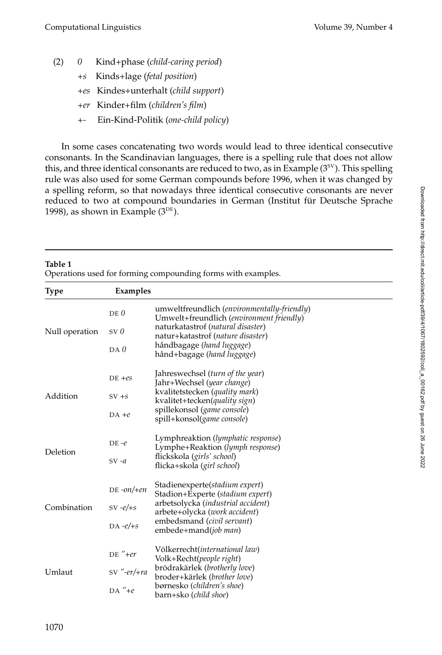- (2) *0* Kind+phase (*child-caring period*)
	- *+s* Kinds+lage (*fetal position*)
	- *+es* Kindes+unterhalt (*child support*)
	- *+er* Kinder+film (*children's film*)
	- *+-* Ein-Kind-Politik (*one-child policy*)

In some cases concatenating two words would lead to three identical consecutive consonants. In the Scandinavian languages, there is a spelling rule that does not allow this, and three identical consonants are reduced to two, as in Example  $(3<sup>sv</sup>)$ . This spelling rule was also used for some German compounds before 1996, when it was changed by a spelling reform, so that nowadays three identical consecutive consonants are never reduced to two at compound boundaries in German (Institut für Deutsche Sprache 1998), as shown in Example  $(3^{DE})$ .

| Table 1<br>Operations used for forming compounding forms with examples. |               |                                                                                         |  |  |  |  |
|-------------------------------------------------------------------------|---------------|-----------------------------------------------------------------------------------------|--|--|--|--|
| <b>Type</b>                                                             | Examples      |                                                                                         |  |  |  |  |
|                                                                         | $DE$ $0$      | umweltfreundlich (environmentally-friendly)<br>Umwelt+freundlich (environment friendly) |  |  |  |  |
| Null operation                                                          | SVD           | naturkatastrof (natural disaster)<br>natur+katastrof (nature disaster)                  |  |  |  |  |
|                                                                         | $DA$ $0$      | håndbagage (hand luggage)<br>hånd+bagage (hand luggage)                                 |  |  |  |  |
|                                                                         | $DE + es$     | Jahreswechsel (turn of the year)<br>Jahr+Wechsel (year change)                          |  |  |  |  |
| Addition                                                                | $SV + s$      | kvalitetstecken (quality mark)<br>kvalitet+tecken(quality sign)                         |  |  |  |  |
|                                                                         | $DA +e$       | spillekonsol (game console)<br>spill+konsol(game console)                               |  |  |  |  |
| Deletion                                                                | $DE -e$       | Lymphreaktion ( <i>lymphatic response</i> )<br>Lymphe+Reaktion (lymph response)         |  |  |  |  |
|                                                                         | $SV -a$       | flickskola (girls' school)<br>flicka+skola (girl school)                                |  |  |  |  |
|                                                                         | $DE - on/+en$ | Stadienexperte( <i>stadium expert</i> )<br>Stadion+Experte ( <i>stadium expert</i> )    |  |  |  |  |
| Combination                                                             | SV- $e/+s$    | arbetsolycka (industrial accident)<br>arbete+olycka (work accident)                     |  |  |  |  |
|                                                                         | DA- $e$ /+s   | embedsmand (civil servant)<br>embede+mand( <i>job man</i> )                             |  |  |  |  |
|                                                                         | $DE'' + er$   | Völkerrecht(international law)<br>Volk+Recht(people right)                              |  |  |  |  |
| Umlaut                                                                  | $SV$ "-er/+ra | brödrakärlek (brotherly love)<br>broder+kärlek (brother love)                           |  |  |  |  |
|                                                                         | $DA''+e$      | børnesko (children's shoe)<br>barn+sko ( <i>child shoe</i> )                            |  |  |  |  |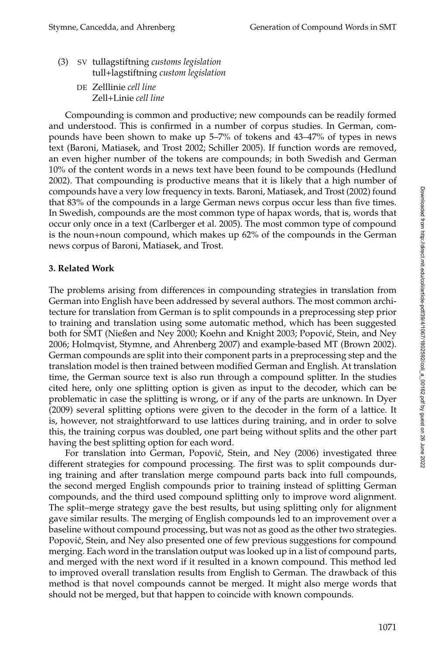Downloaded from http://direct.mit.edul/coli/article-pdf/39/4/1067/1802592/coli\_a\_00162.pdf by guest on 26 June 2022

Downloaded from http://direct.mit.edu/coli/article-pdf/39/4/1067/1802592/coli\_a\_00162.pdf by guest on 26 June 2022

- (3) SV tullagstiftning *customs legislation* tull+lagstiftning *custom legislation*
	- DE Zelllinie *cell line* Zell+Linie *cell line*

Compounding is common and productive; new compounds can be readily formed and understood. This is confirmed in a number of corpus studies. In German, compounds have been shown to make up 5–7% of tokens and 43–47% of types in news text (Baroni, Matiasek, and Trost 2002; Schiller 2005). If function words are removed, an even higher number of the tokens are compounds; in both Swedish and German 10% of the content words in a news text have been found to be compounds (Hedlund 2002). That compounding is productive means that it is likely that a high number of compounds have a very low frequency in texts. Baroni, Matiasek, and Trost (2002) found that 83% of the compounds in a large German news corpus occur less than five times. In Swedish, compounds are the most common type of hapax words, that is, words that occur only once in a text (Carlberger et al. 2005). The most common type of compound is the noun+noun compound, which makes up 62% of the compounds in the German news corpus of Baroni, Matiasek, and Trost.

# **3. Related Work**

The problems arising from differences in compounding strategies in translation from German into English have been addressed by several authors. The most common architecture for translation from German is to split compounds in a preprocessing step prior to training and translation using some automatic method, which has been suggested both for SMT (Nießen and Ney 2000; Koehn and Knight 2003; Popovic, Stein, and Ney ´ 2006; Holmqvist, Stymne, and Ahrenberg 2007) and example-based MT (Brown 2002). German compounds are split into their component parts in a preprocessing step and the translation model is then trained between modified German and English. At translation time, the German source text is also run through a compound splitter. In the studies cited here, only one splitting option is given as input to the decoder, which can be problematic in case the splitting is wrong, or if any of the parts are unknown. In Dyer (2009) several splitting options were given to the decoder in the form of a lattice. It is, however, not straightforward to use lattices during training, and in order to solve this, the training corpus was doubled, one part being without splits and the other part having the best splitting option for each word.

For translation into German, Popović, Stein, and Ney (2006) investigated three different strategies for compound processing. The first was to split compounds during training and after translation merge compound parts back into full compounds, the second merged English compounds prior to training instead of splitting German compounds, and the third used compound splitting only to improve word alignment. The split–merge strategy gave the best results, but using splitting only for alignment gave similar results. The merging of English compounds led to an improvement over a baseline without compound processing, but was not as good as the other two strategies. Popović, Stein, and Ney also presented one of few previous suggestions for compound merging. Each word in the translation output was looked up in a list of compound parts, and merged with the next word if it resulted in a known compound. This method led to improved overall translation results from English to German. The drawback of this method is that novel compounds cannot be merged. It might also merge words that should not be merged, but that happen to coincide with known compounds.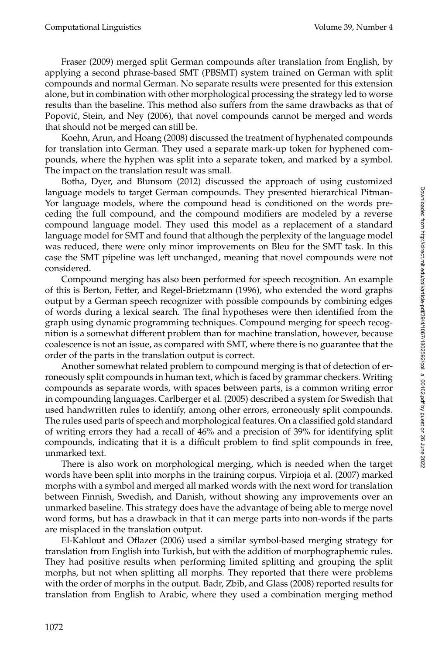Fraser (2009) merged split German compounds after translation from English, by applying a second phrase-based SMT (PBSMT) system trained on German with split compounds and normal German. No separate results were presented for this extension alone, but in combination with other morphological processing the strategy led to worse results than the baseline. This method also suffers from the same drawbacks as that of Popović, Stein, and Ney (2006), that novel compounds cannot be merged and words that should not be merged can still be.

Koehn, Arun, and Hoang (2008) discussed the treatment of hyphenated compounds for translation into German. They used a separate mark-up token for hyphened compounds, where the hyphen was split into a separate token, and marked by a symbol. The impact on the translation result was small.

Botha, Dyer, and Blunsom (2012) discussed the approach of using customized language models to target German compounds. They presented hierarchical Pitman-Yor language models, where the compound head is conditioned on the words preceding the full compound, and the compound modifiers are modeled by a reverse compound language model. They used this model as a replacement of a standard language model for SMT and found that although the perplexity of the language model was reduced, there were only minor improvements on Bleu for the SMT task. In this case the SMT pipeline was left unchanged, meaning that novel compounds were not considered.

Compound merging has also been performed for speech recognition. An example of this is Berton, Fetter, and Regel-Brietzmann (1996), who extended the word graphs output by a German speech recognizer with possible compounds by combining edges of words during a lexical search. The final hypotheses were then identified from the graph using dynamic programming techniques. Compound merging for speech recognition is a somewhat different problem than for machine translation, however, because coalescence is not an issue, as compared with SMT, where there is no guarantee that the order of the parts in the translation output is correct.

Another somewhat related problem to compound merging is that of detection of erroneously split compounds in human text, which is faced by grammar checkers. Writing compounds as separate words, with spaces between parts, is a common writing error in compounding languages. Carlberger et al. (2005) described a system for Swedish that used handwritten rules to identify, among other errors, erroneously split compounds. The rules used parts of speech and morphological features. On a classified gold standard of writing errors they had a recall of 46% and a precision of 39% for identifying split compounds, indicating that it is a difficult problem to find split compounds in free, unmarked text.

There is also work on morphological merging, which is needed when the target words have been split into morphs in the training corpus. Virpioja et al. (2007) marked morphs with a symbol and merged all marked words with the next word for translation between Finnish, Swedish, and Danish, without showing any improvements over an unmarked baseline. This strategy does have the advantage of being able to merge novel word forms, but has a drawback in that it can merge parts into non-words if the parts are misplaced in the translation output.

El-Kahlout and Oflazer (2006) used a similar symbol-based merging strategy for translation from English into Turkish, but with the addition of morphographemic rules. They had positive results when performing limited splitting and grouping the split morphs, but not when splitting all morphs. They reported that there were problems with the order of morphs in the output. Badr, Zbib, and Glass (2008) reported results for translation from English to Arabic, where they used a combination merging method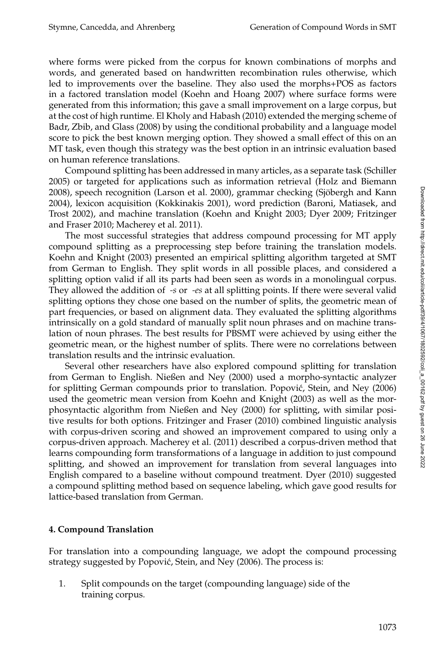where forms were picked from the corpus for known combinations of morphs and words, and generated based on handwritten recombination rules otherwise, which led to improvements over the baseline. They also used the morphs+POS as factors in a factored translation model (Koehn and Hoang 2007) where surface forms were generated from this information; this gave a small improvement on a large corpus, but at the cost of high runtime. El Kholy and Habash (2010) extended the merging scheme of Badr, Zbib, and Glass (2008) by using the conditional probability and a language model score to pick the best known merging option. They showed a small effect of this on an MT task, even though this strategy was the best option in an intrinsic evaluation based on human reference translations.

Compound splitting has been addressed in many articles, as a separate task (Schiller 2005) or targeted for applications such as information retrieval (Holz and Biemann 2008), speech recognition (Larson et al. 2000), grammar checking (Sjobergh and Kann ¨ 2004), lexicon acquisition (Kokkinakis 2001), word prediction (Baroni, Matiasek, and Trost 2002), and machine translation (Koehn and Knight 2003; Dyer 2009; Fritzinger and Fraser 2010; Macherey et al. 2011).

The most successful strategies that address compound processing for MT apply compound splitting as a preprocessing step before training the translation models. Koehn and Knight (2003) presented an empirical splitting algorithm targeted at SMT from German to English. They split words in all possible places, and considered a splitting option valid if all its parts had been seen as words in a monolingual corpus. They allowed the addition of *-s* or *-es* at all splitting points. If there were several valid splitting options they chose one based on the number of splits, the geometric mean of part frequencies, or based on alignment data. They evaluated the splitting algorithms intrinsically on a gold standard of manually split noun phrases and on machine translation of noun phrases. The best results for PBSMT were achieved by using either the geometric mean, or the highest number of splits. There were no correlations between translation results and the intrinsic evaluation.

Several other researchers have also explored compound splitting for translation from German to English. Nießen and Ney (2000) used a morpho-syntactic analyzer for splitting German compounds prior to translation. Popović, Stein, and Ney (2006) used the geometric mean version from Koehn and Knight (2003) as well as the morphosyntactic algorithm from Nießen and Ney (2000) for splitting, with similar positive results for both options. Fritzinger and Fraser (2010) combined linguistic analysis with corpus-driven scoring and showed an improvement compared to using only a corpus-driven approach. Macherey et al. (2011) described a corpus-driven method that learns compounding form transformations of a language in addition to just compound splitting, and showed an improvement for translation from several languages into English compared to a baseline without compound treatment. Dyer (2010) suggested a compound splitting method based on sequence labeling, which gave good results for lattice-based translation from German.

# **4. Compound Translation**

For translation into a compounding language, we adopt the compound processing strategy suggested by Popović, Stein, and Ney (2006). The process is:

1. Split compounds on the target (compounding language) side of the training corpus.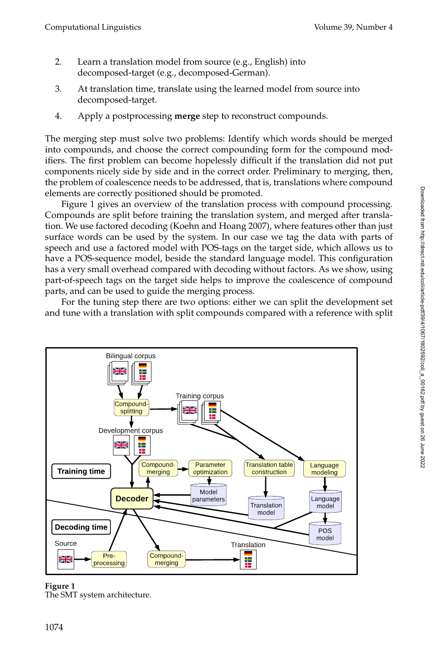- 2. Learn a translation model from source (e.g., English) into decomposed-target (e.g., decomposed-German).
- 3. At translation time, translate using the learned model from source into decomposed-target.
- 4. Apply a postprocessing **merge** step to reconstruct compounds.

The merging step must solve two problems: Identify which words should be merged into compounds, and choose the correct compounding form for the compound modifiers. The first problem can become hopelessly difficult if the translation did not put components nicely side by side and in the correct order. Preliminary to merging, then, the problem of coalescence needs to be addressed, that is, translations where compound elements are correctly positioned should be promoted.

Figure 1 gives an overview of the translation process with compound processing. Compounds are split before training the translation system, and merged after translation. We use factored decoding (Koehn and Hoang 2007), where features other than just surface words can be used by the system. In our case we tag the data with parts of speech and use a factored model with POS-tags on the target side, which allows us to have a POS-sequence model, beside the standard language model. This configuration has a very small overhead compared with decoding without factors. As we show, using part-of-speech tags on the target side helps to improve the coalescence of compound parts, and can be used to guide the merging process.

For the tuning step there are two options: either we can split the development set and tune with a translation with split compounds compared with a reference with split



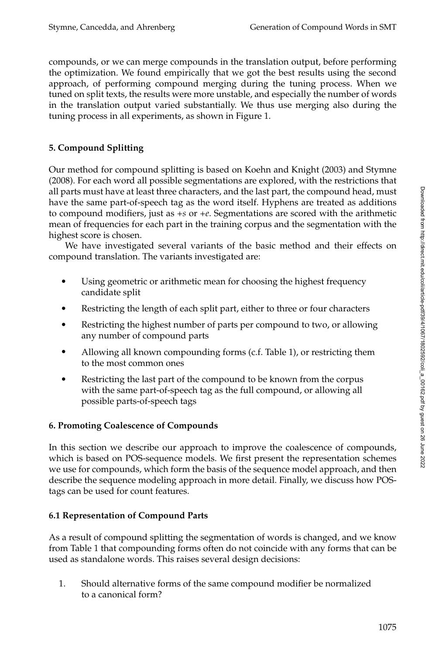compounds, or we can merge compounds in the translation output, before performing the optimization. We found empirically that we got the best results using the second approach, of performing compound merging during the tuning process. When we tuned on split texts, the results were more unstable, and especially the number of words in the translation output varied substantially. We thus use merging also during the tuning process in all experiments, as shown in Figure 1.

# **5. Compound Splitting**

Our method for compound splitting is based on Koehn and Knight (2003) and Stymne (2008). For each word all possible segmentations are explored, with the restrictions that all parts must have at least three characters, and the last part, the compound head, must have the same part-of-speech tag as the word itself. Hyphens are treated as additions to compound modifiers, just as *+s* or *+e*. Segmentations are scored with the arithmetic mean of frequencies for each part in the training corpus and the segmentation with the highest score is chosen.

We have investigated several variants of the basic method and their effects on compound translation. The variants investigated are:

- Using geometric or arithmetic mean for choosing the highest frequency candidate split
- Restricting the length of each split part, either to three or four characters
- Restricting the highest number of parts per compound to two, or allowing any number of compound parts
- Allowing all known compounding forms (c.f. Table 1), or restricting them to the most common ones
- Restricting the last part of the compound to be known from the corpus with the same part-of-speech tag as the full compound, or allowing all possible parts-of-speech tags

# **6. Promoting Coalescence of Compounds**

In this section we describe our approach to improve the coalescence of compounds, which is based on POS-sequence models. We first present the representation schemes we use for compounds, which form the basis of the sequence model approach, and then describe the sequence modeling approach in more detail. Finally, we discuss how POStags can be used for count features.

# **6.1 Representation of Compound Parts**

As a result of compound splitting the segmentation of words is changed, and we know from Table 1 that compounding forms often do not coincide with any forms that can be used as standalone words. This raises several design decisions:

1. Should alternative forms of the same compound modifier be normalized to a canonical form?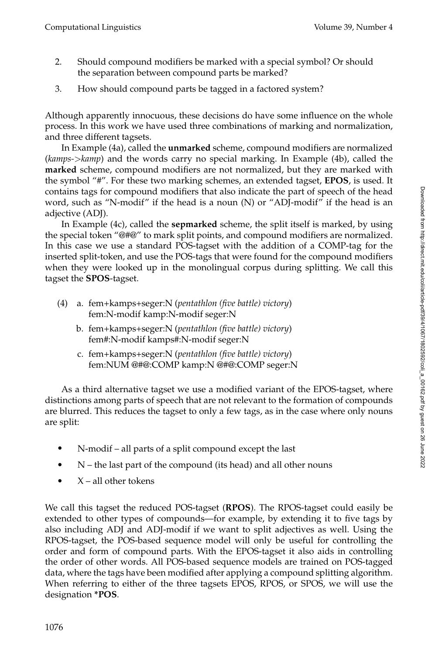- 2. Should compound modifiers be marked with a special symbol? Or should the separation between compound parts be marked?
- 3. How should compound parts be tagged in a factored system?

Although apparently innocuous, these decisions do have some influence on the whole process. In this work we have used three combinations of marking and normalization, and three different tagsets.

In Example (4a), called the **unmarked** scheme, compound modifiers are normalized (*kamps-*>*kamp*) and the words carry no special marking. In Example (4b), called the **marked** scheme, compound modifiers are not normalized, but they are marked with the symbol "#". For these two marking schemes, an extended tagset, **EPOS**, is used. It contains tags for compound modifiers that also indicate the part of speech of the head word, such as "N-modif" if the head is a noun (N) or "ADJ-modif" if the head is an adjective (ADJ).

In Example (4c), called the **sepmarked** scheme, the split itself is marked, by using the special token "@#@" to mark split points, and compound modifiers are normalized. In this case we use a standard POS-tagset with the addition of a COMP-tag for the inserted split-token, and use the POS-tags that were found for the compound modifiers when they were looked up in the monolingual corpus during splitting. We call this tagset the **SPOS**-tagset.

- (4) a. fem+kamps+seger:N (*pentathlon (five battle) victory*) fem:N-modif kamp:N-modif seger:N
	- b. fem+kamps+seger:N (*pentathlon (five battle) victory*) fem#:N-modif kamps#:N-modif seger:N
	- c. fem+kamps+seger:N (*pentathlon (five battle) victory*) fem:NUM @#@:COMP kamp:N @#@:COMP seger:N

As a third alternative tagset we use a modified variant of the EPOS-tagset, where distinctions among parts of speech that are not relevant to the formation of compounds are blurred. This reduces the tagset to only a few tags, as in the case where only nouns are split:

- N-modif all parts of a split compound except the last
- N the last part of the compound (its head) and all other nouns
- X all other tokens

We call this tagset the reduced POS-tagset (**RPOS**). The RPOS-tagset could easily be extended to other types of compounds—for example, by extending it to five tags by also including ADJ and ADJ-modif if we want to split adjectives as well. Using the RPOS-tagset, the POS-based sequence model will only be useful for controlling the order and form of compound parts. With the EPOS-tagset it also aids in controlling the order of other words. All POS-based sequence models are trained on POS-tagged data, where the tags have been modified after applying a compound splitting algorithm. When referring to either of the three tagsets EPOS, RPOS, or SPOS, we will use the designation **\*POS**.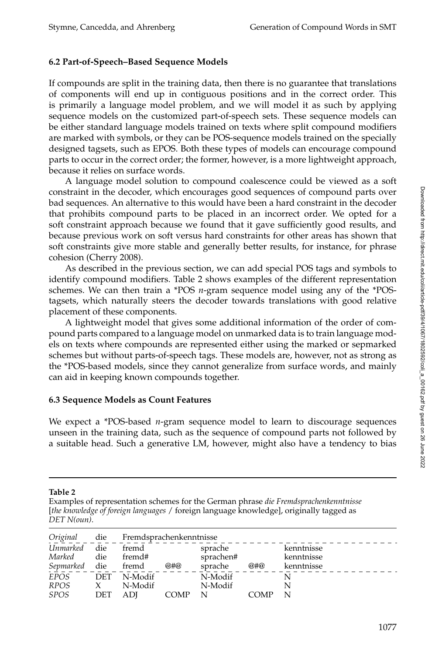## **6.2 Part-of-Speech–Based Sequence Models**

If compounds are split in the training data, then there is no guarantee that translations of components will end up in contiguous positions and in the correct order. This is primarily a language model problem, and we will model it as such by applying sequence models on the customized part-of-speech sets. These sequence models can be either standard language models trained on texts where split compound modifiers are marked with symbols, or they can be POS-sequence models trained on the specially designed tagsets, such as EPOS. Both these types of models can encourage compound parts to occur in the correct order; the former, however, is a more lightweight approach, because it relies on surface words.

A language model solution to compound coalescence could be viewed as a soft constraint in the decoder, which encourages good sequences of compound parts over bad sequences. An alternative to this would have been a hard constraint in the decoder that prohibits compound parts to be placed in an incorrect order. We opted for a soft constraint approach because we found that it gave sufficiently good results, and because previous work on soft versus hard constraints for other areas has shown that soft constraints give more stable and generally better results, for instance, for phrase cohesion (Cherry 2008).

As described in the previous section, we can add special POS tags and symbols to identify compound modifiers. Table 2 shows examples of the different representation schemes. We can then train a \*POS *n*-gram sequence model using any of the \*POStagsets, which naturally steers the decoder towards translations with good relative placement of these components.

A lightweight model that gives some additional information of the order of compound parts compared to a language model on unmarked data is to train language models on texts where compounds are represented either using the marked or sepmarked schemes but without parts-of-speech tags. These models are, however, not as strong as the \*POS-based models, since they cannot generalize from surface words, and mainly can aid in keeping known compounds together.

#### **6.3 Sequence Models as Count Features**

We expect a \*POS-based *n*-gram sequence model to learn to discourage sequences unseen in the training data, such as the sequence of compound parts not followed by a suitable head. Such a generative LM, however, might also have a tendency to bias

#### **Table 2**

Examples of representation schemes for the German phrase *die Fremdsprachenkenntnisse* [*the knowledge of foreign languages* / foreign language knowledge], originally tagged as *DET N(oun)*.

| Original    | die          |         | Fremdsprachenkenntnisse |           |      |            |  |  |  |  |
|-------------|--------------|---------|-------------------------|-----------|------|------------|--|--|--|--|
| Unmarked    | die          | fremd   |                         | sprache   |      | kenntnisse |  |  |  |  |
| Marked      | die          | fremd#  |                         | sprachen# |      | kenntnisse |  |  |  |  |
| Sepmarked   | die          | fremd   | @#@                     | sprache   | @#@  | kenntnisse |  |  |  |  |
| <b>EPOS</b> | <b>DET</b>   | N-Modif |                         | N-Modif   |      |            |  |  |  |  |
| <b>RPOS</b> | $\mathbf{X}$ | N-Modif |                         | N-Modif   |      |            |  |  |  |  |
| <b>SPOS</b> | DET          | ADI     | <b>COMP</b>             | N         | COMP |            |  |  |  |  |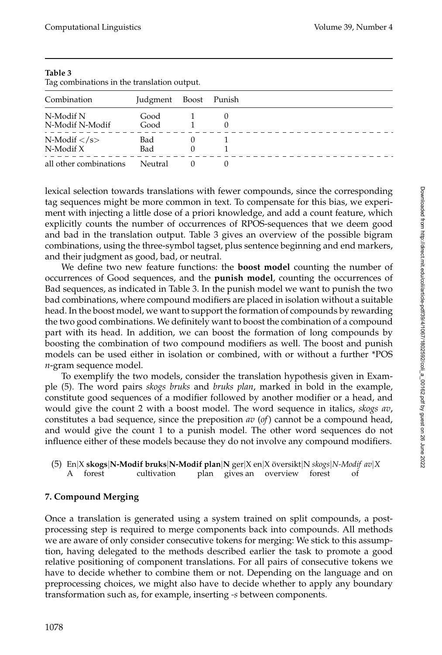| Tag complitations in the translation output. |          |       |          |  |  |  |  |
|----------------------------------------------|----------|-------|----------|--|--|--|--|
| Combination                                  | Judgment | Boost | Punish   |  |  |  |  |
| N-Modif N                                    | Good     |       |          |  |  |  |  |
| N-Modif N-Modif                              | Good     |       | $\theta$ |  |  |  |  |
| N-Modif $\langle$ /s>                        | Bad      | O     |          |  |  |  |  |
| $N$ -Modif X                                 | Bad      | 0     |          |  |  |  |  |
| all other combinations                       | Neutral  |       |          |  |  |  |  |

**Table 3** Tag combinations in the translation output.

lexical selection towards translations with fewer compounds, since the corresponding tag sequences might be more common in text. To compensate for this bias, we experiment with injecting a little dose of a priori knowledge, and add a count feature, which explicitly counts the number of occurrences of RPOS-sequences that we deem good and bad in the translation output. Table 3 gives an overview of the possible bigram combinations, using the three-symbol tagset, plus sentence beginning and end markers, and their judgment as good, bad, or neutral.

We define two new feature functions: the **boost model** counting the number of occurrences of Good sequences, and the **punish model**, counting the occurrences of Bad sequences, as indicated in Table 3. In the punish model we want to punish the two bad combinations, where compound modifiers are placed in isolation without a suitable head. In the boost model, we want to support the formation of compounds by rewarding the two good combinations. We definitely want to boost the combination of a compound part with its head. In addition, we can boost the formation of long compounds by boosting the combination of two compound modifiers as well. The boost and punish models can be used either in isolation or combined, with or without a further \*POS *n*-gram sequence model.

To exemplify the two models, consider the translation hypothesis given in Example (5). The word pairs *skogs bruks* and *bruks plan*, marked in bold in the example, constitute good sequences of a modifier followed by another modifier or a head, and would give the count 2 with a boost model. The word sequence in italics, *skogs av*, constitutes a bad sequence, since the preposition *av* (*of*) cannot be a compound head, and would give the count 1 to a punish model. The other word sequences do not influence either of these models because they do not involve any compound modifiers.

(5) En|X **skogs|N-Modif bruks|N-Modif plan**|**N** ger|X en|X översikt|N *skogs*|*N-Modif av*|X<br>
A forest cultivation plan gives an overview forest of A forest cultivation plan gives an overview forest of

# **7. Compound Merging**

Once a translation is generated using a system trained on split compounds, a postprocessing step is required to merge components back into compounds. All methods we are aware of only consider consecutive tokens for merging: We stick to this assumption, having delegated to the methods described earlier the task to promote a good relative positioning of component translations. For all pairs of consecutive tokens we have to decide whether to combine them or not. Depending on the language and on preprocessing choices, we might also have to decide whether to apply any boundary transformation such as, for example, inserting *-s* between components.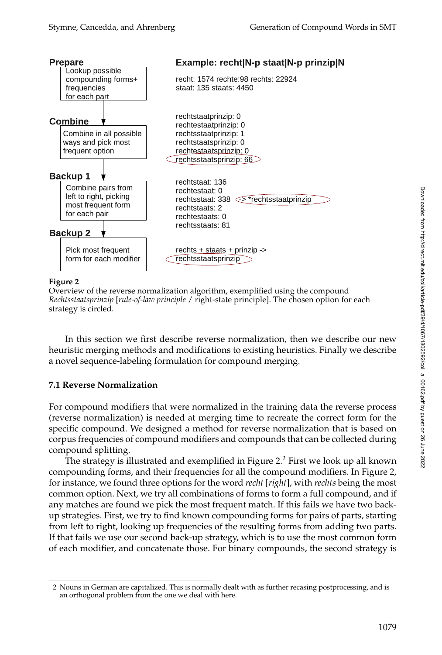

#### **Figure 2**

Overview of the reverse normalization algorithm, exemplified using the compound *Rechtsstaatsprinzip* [*rule-of-law principle* / right-state principle]. The chosen option for each strategy is circled.

In this section we first describe reverse normalization, then we describe our new heuristic merging methods and modifications to existing heuristics. Finally we describe a novel sequence-labeling formulation for compound merging.

# **7.1 Reverse Normalization**

For compound modifiers that were normalized in the training data the reverse process (reverse normalization) is needed at merging time to recreate the correct form for the specific compound. We designed a method for reverse normalization that is based on corpus frequencies of compound modifiers and compounds that can be collected during compound splitting.

The strategy is illustrated and exemplified in Figure 2. $^2$  First we look up all known compounding forms, and their frequencies for all the compound modifiers. In Figure 2, for instance, we found three options for the word *recht* [*right*], with *rechts* being the most common option. Next, we try all combinations of forms to form a full compound, and if any matches are found we pick the most frequent match. If this fails we have two backup strategies. First, we try to find known compounding forms for pairs of parts, starting from left to right, looking up frequencies of the resulting forms from adding two parts. If that fails we use our second back-up strategy, which is to use the most common form of each modifier, and concatenate those. For binary compounds, the second strategy is

<sup>2</sup> Nouns in German are capitalized. This is normally dealt with as further recasing postprocessing, and is an orthogonal problem from the one we deal with here.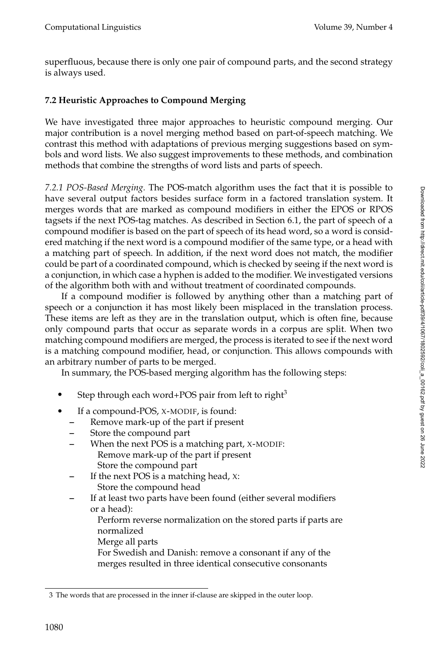superfluous, because there is only one pair of compound parts, and the second strategy is always used.

# **7.2 Heuristic Approaches to Compound Merging**

We have investigated three major approaches to heuristic compound merging. Our major contribution is a novel merging method based on part-of-speech matching. We contrast this method with adaptations of previous merging suggestions based on symbols and word lists. We also suggest improvements to these methods, and combination methods that combine the strengths of word lists and parts of speech.

*7.2.1 POS-Based Merging.* The POS-match algorithm uses the fact that it is possible to have several output factors besides surface form in a factored translation system. It merges words that are marked as compound modifiers in either the EPOS or RPOS tagsets if the next POS-tag matches. As described in Section 6.1, the part of speech of a compound modifier is based on the part of speech of its head word, so a word is considered matching if the next word is a compound modifier of the same type, or a head with a matching part of speech. In addition, if the next word does not match, the modifier could be part of a coordinated compound, which is checked by seeing if the next word is a conjunction, in which case a hyphen is added to the modifier. We investigated versions of the algorithm both with and without treatment of coordinated compounds.

If a compound modifier is followed by anything other than a matching part of speech or a conjunction it has most likely been misplaced in the translation process. These items are left as they are in the translation output, which is often fine, because only compound parts that occur as separate words in a corpus are split. When two matching compound modifiers are merged, the process is iterated to see if the next word is a matching compound modifier, head, or conjunction. This allows compounds with an arbitrary number of parts to be merged.

In summary, the POS-based merging algorithm has the following steps:

- Step through each word+POS pair from left to right<sup>3</sup>
- If a compound-POS, X-MODIF, is found:
	- **–** Remove mark-up of the part if present
	- **–** Store the compound part
	- **–** When the next POS is a matching part, X-MODIF: Remove mark-up of the part if present Store the compound part
	- **–** If the next POS is a matching head, X: Store the compound head
	- **–** If at least two parts have been found (either several modifiers or a head):

Perform reverse normalization on the stored parts if parts are normalized

Merge all parts

For Swedish and Danish: remove a consonant if any of the merges resulted in three identical consecutive consonants

<sup>3</sup> The words that are processed in the inner if-clause are skipped in the outer loop.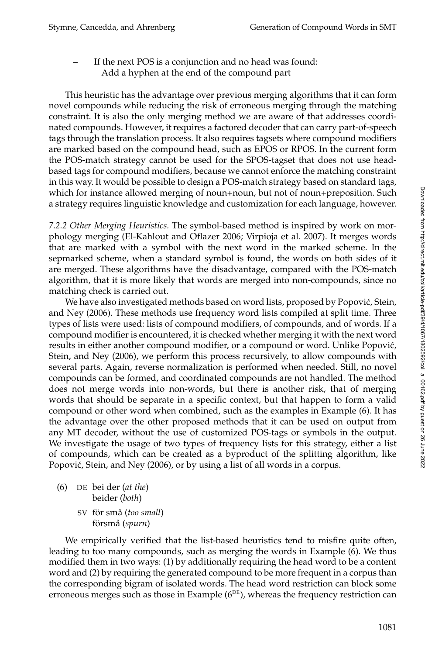**–** If the next POS is a conjunction and no head was found: Add a hyphen at the end of the compound part

This heuristic has the advantage over previous merging algorithms that it can form novel compounds while reducing the risk of erroneous merging through the matching constraint. It is also the only merging method we are aware of that addresses coordinated compounds. However, it requires a factored decoder that can carry part-of-speech tags through the translation process. It also requires tagsets where compound modifiers are marked based on the compound head, such as EPOS or RPOS. In the current form the POS-match strategy cannot be used for the SPOS-tagset that does not use headbased tags for compound modifiers, because we cannot enforce the matching constraint in this way. It would be possible to design a POS-match strategy based on standard tags, which for instance allowed merging of noun+noun, but not of noun+preposition. Such a strategy requires linguistic knowledge and customization for each language, however.

*7.2.2 Other Merging Heuristics.* The symbol-based method is inspired by work on morphology merging (El-Kahlout and Oflazer 2006; Virpioja et al. 2007). It merges words that are marked with a symbol with the next word in the marked scheme. In the sepmarked scheme, when a standard symbol is found, the words on both sides of it are merged. These algorithms have the disadvantage, compared with the POS-match algorithm, that it is more likely that words are merged into non-compounds, since no matching check is carried out.

We have also investigated methods based on word lists, proposed by Popović, Stein, and Ney (2006). These methods use frequency word lists compiled at split time. Three types of lists were used: lists of compound modifiers, of compounds, and of words. If a compound modifier is encountered, it is checked whether merging it with the next word results in either another compound modifier, or a compound or word. Unlike Popović, Stein, and Ney (2006), we perform this process recursively, to allow compounds with several parts. Again, reverse normalization is performed when needed. Still, no novel compounds can be formed, and coordinated compounds are not handled. The method does not merge words into non-words, but there is another risk, that of merging words that should be separate in a specific context, but that happen to form a valid compound or other word when combined, such as the examples in Example (6). It has the advantage over the other proposed methods that it can be used on output from any MT decoder, without the use of customized POS-tags or symbols in the output. We investigate the usage of two types of frequency lists for this strategy, either a list of compounds, which can be created as a byproduct of the splitting algorithm, like Popović, Stein, and Ney (2006), or by using a list of all words in a corpus.

- (6) DE bei der (*at the*) beider (*both*)
	- SV för små (*too small*) försmå (spurn)

We empirically verified that the list-based heuristics tend to misfire quite often, leading to too many compounds, such as merging the words in Example (6). We thus modified them in two ways: (1) by additionally requiring the head word to be a content word and (2) by requiring the generated compound to be more frequent in a corpus than the corresponding bigram of isolated words. The head word restriction can block some erroneous merges such as those in Example  $(6^{DE})$ , whereas the frequency restriction can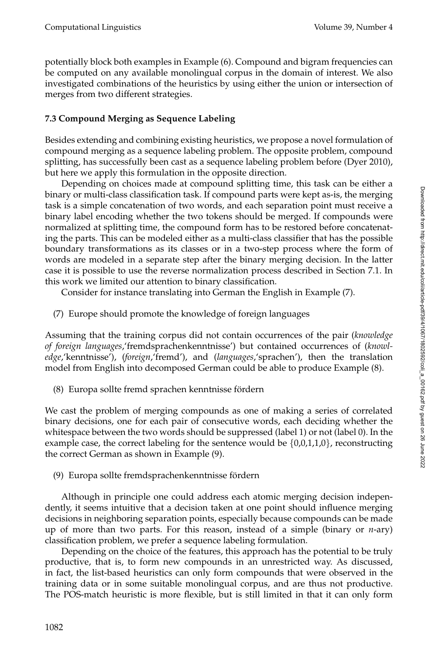potentially block both examples in Example (6). Compound and bigram frequencies can be computed on any available monolingual corpus in the domain of interest. We also investigated combinations of the heuristics by using either the union or intersection of merges from two different strategies.

# **7.3 Compound Merging as Sequence Labeling**

Besides extending and combining existing heuristics, we propose a novel formulation of compound merging as a sequence labeling problem. The opposite problem, compound splitting, has successfully been cast as a sequence labeling problem before (Dyer 2010), but here we apply this formulation in the opposite direction.

Depending on choices made at compound splitting time, this task can be either a binary or multi-class classification task. If compound parts were kept as-is, the merging task is a simple concatenation of two words, and each separation point must receive a binary label encoding whether the two tokens should be merged. If compounds were normalized at splitting time, the compound form has to be restored before concatenating the parts. This can be modeled either as a multi-class classifier that has the possible boundary transformations as its classes or in a two-step process where the form of words are modeled in a separate step after the binary merging decision. In the latter case it is possible to use the reverse normalization process described in Section 7.1. In this work we limited our attention to binary classification.

Consider for instance translating into German the English in Example (7).

(7) Europe should promote the knowledge of foreign languages

Assuming that the training corpus did not contain occurrences of the pair (*knowledge of foreign languages*,'fremdsprachenkenntnisse') but contained occurrences of (*knowledge*,'kenntnisse'), (*foreign*,'fremd'), and (*languages*,'sprachen'), then the translation model from English into decomposed German could be able to produce Example (8).

(8) Europa sollte fremd sprachen kenntnisse fördern

We cast the problem of merging compounds as one of making a series of correlated binary decisions, one for each pair of consecutive words, each deciding whether the whitespace between the two words should be suppressed (label 1) or not (label 0). In the example case, the correct labeling for the sentence would be  $\{0,0,1,1,0\}$ , reconstructing the correct German as shown in Example (9).

(9) Europa sollte fremdsprachenkenntnisse fördern

Although in principle one could address each atomic merging decision independently, it seems intuitive that a decision taken at one point should influence merging decisions in neighboring separation points, especially because compounds can be made up of more than two parts. For this reason, instead of a simple (binary or *n*-ary) classification problem, we prefer a sequence labeling formulation.

Depending on the choice of the features, this approach has the potential to be truly productive, that is, to form new compounds in an unrestricted way. As discussed, in fact, the list-based heuristics can only form compounds that were observed in the training data or in some suitable monolingual corpus, and are thus not productive. The POS-match heuristic is more flexible, but is still limited in that it can only form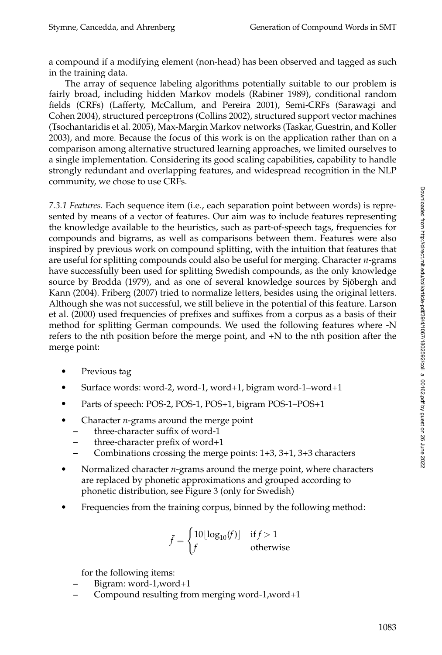a compound if a modifying element (non-head) has been observed and tagged as such in the training data.

The array of sequence labeling algorithms potentially suitable to our problem is fairly broad, including hidden Markov models (Rabiner 1989), conditional random fields (CRFs) (Lafferty, McCallum, and Pereira 2001), Semi-CRFs (Sarawagi and Cohen 2004), structured perceptrons (Collins 2002), structured support vector machines (Tsochantaridis et al. 2005), Max-Margin Markov networks (Taskar, Guestrin, and Koller 2003), and more. Because the focus of this work is on the application rather than on a comparison among alternative structured learning approaches, we limited ourselves to a single implementation. Considering its good scaling capabilities, capability to handle strongly redundant and overlapping features, and widespread recognition in the NLP community, we chose to use CRFs.

*7.3.1 Features.* Each sequence item (i.e., each separation point between words) is represented by means of a vector of features. Our aim was to include features representing the knowledge available to the heuristics, such as part-of-speech tags, frequencies for compounds and bigrams, as well as comparisons between them. Features were also inspired by previous work on compound splitting, with the intuition that features that are useful for splitting compounds could also be useful for merging. Character *n*-grams have successfully been used for splitting Swedish compounds, as the only knowledge source by Brodda (1979), and as one of several knowledge sources by Sjöbergh and Kann (2004). Friberg (2007) tried to normalize letters, besides using the original letters. Although she was not successful, we still believe in the potential of this feature. Larson et al. (2000) used frequencies of prefixes and suffixes from a corpus as a basis of their method for splitting German compounds. We used the following features where -N refers to the nth position before the merge point, and +N to the nth position after the merge point:

- Previous tag
- Surface words: word-2, word-1, word+1, bigram word-1–word+1
- Parts of speech: POS-2, POS-1, POS+1, bigram POS-1–POS+1
- Character *n*-grams around the merge point
	- **–** three-character suffix of word-1
	- **–** three-character prefix of word+1
	- **–** Combinations crossing the merge points: 1+3, 3+1, 3+3 characters
- Normalized character *n*-grams around the merge point, where characters are replaced by phonetic approximations and grouped according to phonetic distribution, see Figure 3 (only for Swedish)
- Frequencies from the training corpus, binned by the following method:

$$
\bar{f} = \begin{cases} 10\lfloor \log_{10}(f) \rfloor & \text{if } f > 1\\ f & \text{otherwise} \end{cases}
$$

for the following items:

- **–** Bigram: word-1,word+1
- **–** Compound resulting from merging word-1,word+1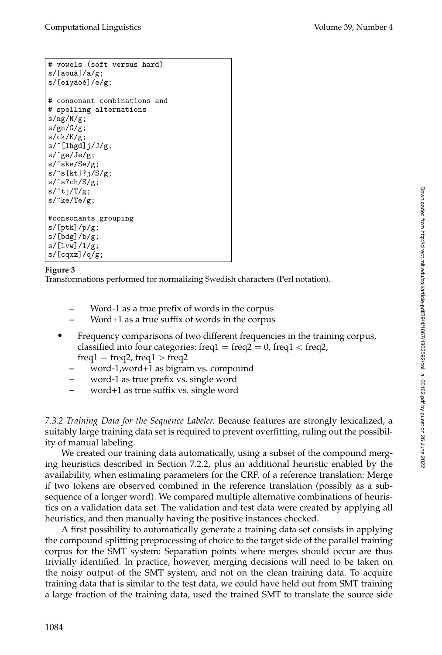```
# vowels (soft versus hard)
s/[aou\land 1/a/g;s/[eiyäöé]/e/g;
# consonant combinations and
# spelling alternations
s/ng/N/g;
s/gn/G/g;
s/ck/K/g;
s/^[lhgd]j/J/g;
s/^ge/Je/g;
s/^ske/Se/g;
s/^s[kt]?j/S/g;
s/^s?ch/S/g;
s/tj/T/g;
s/^ke/Te/g;
#consonants grouping
s/[ptk]/p/g;
s/[bdg]/b/g;s/[lvw]/l/g;
s/[cqxz]/q/g;
```
## **Figure 3**

Transformations performed for normalizing Swedish characters (Perl notation).

- **–** Word-1 as a true prefix of words in the corpus
- **–** Word+1 as a true suffix of words in the corpus
- Frequency comparisons of two different frequencies in the training corpus, classified into four categories: freq $1 = \text{freq2} = 0$ , freq $1 < \text{freq2}$ ,  $freq1 = freq2$ , freq $1 > freq2$ 
	- **–** word-1,word+1 as bigram vs. compound
	- **–** word-1 as true prefix vs. single word
	- **–** word+1 as true suffix vs. single word

*7.3.2 Training Data for the Sequence Labeler.* Because features are strongly lexicalized, a suitably large training data set is required to prevent overfitting, ruling out the possibility of manual labeling.

We created our training data automatically, using a subset of the compound merging heuristics described in Section 7.2.2, plus an additional heuristic enabled by the availability, when estimating parameters for the CRF, of a reference translation: Merge if two tokens are observed combined in the reference translation (possibly as a subsequence of a longer word). We compared multiple alternative combinations of heuristics on a validation data set. The validation and test data were created by applying all heuristics, and then manually having the positive instances checked.

A first possibility to automatically generate a training data set consists in applying the compound splitting preprocessing of choice to the target side of the parallel training corpus for the SMT system: Separation points where merges should occur are thus trivially identified. In practice, however, merging decisions will need to be taken on the noisy output of the SMT system, and not on the clean training data. To acquire training data that is similar to the test data, we could have held out from SMT training a large fraction of the training data, used the trained SMT to translate the source side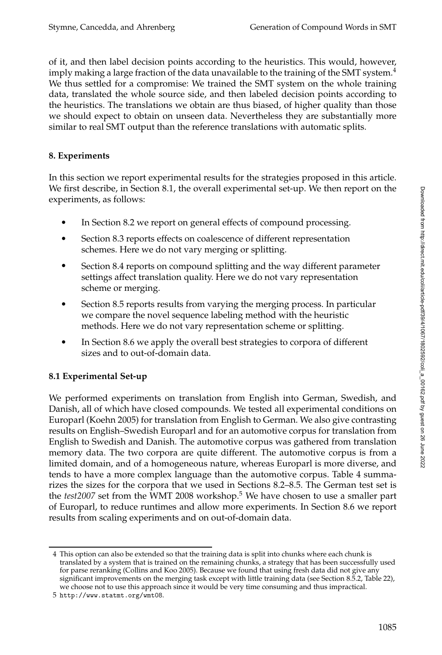of it, and then label decision points according to the heuristics. This would, however, imply making a large fraction of the data unavailable to the training of the SMT system. $4$ We thus settled for a compromise: We trained the SMT system on the whole training data, translated the whole source side, and then labeled decision points according to the heuristics. The translations we obtain are thus biased, of higher quality than those we should expect to obtain on unseen data. Nevertheless they are substantially more similar to real SMT output than the reference translations with automatic splits.

# **8. Experiments**

In this section we report experimental results for the strategies proposed in this article. We first describe, in Section 8.1, the overall experimental set-up. We then report on the experiments, as follows:

- In Section 8.2 we report on general effects of compound processing.
- Section 8.3 reports effects on coalescence of different representation schemes. Here we do not vary merging or splitting.
- Section 8.4 reports on compound splitting and the way different parameter settings affect translation quality. Here we do not vary representation scheme or merging.
- Section 8.5 reports results from varying the merging process. In particular we compare the novel sequence labeling method with the heuristic methods. Here we do not vary representation scheme or splitting.
- In Section 8.6 we apply the overall best strategies to corpora of different sizes and to out-of-domain data.

# **8.1 Experimental Set-up**

We performed experiments on translation from English into German, Swedish, and Danish, all of which have closed compounds. We tested all experimental conditions on Europarl (Koehn 2005) for translation from English to German. We also give contrasting results on English–Swedish Europarl and for an automotive corpus for translation from English to Swedish and Danish. The automotive corpus was gathered from translation memory data. The two corpora are quite different. The automotive corpus is from a limited domain, and of a homogeneous nature, whereas Europarl is more diverse, and tends to have a more complex language than the automotive corpus. Table 4 summarizes the sizes for the corpora that we used in Sections 8.2–8.5. The German test set is the *test2007* set from the WMT 2008 workshop.<sup>5</sup> We have chosen to use a smaller part of Europarl, to reduce runtimes and allow more experiments. In Section 8.6 we report results from scaling experiments and on out-of-domain data.

<sup>4</sup> This option can also be extended so that the training data is split into chunks where each chunk is translated by a system that is trained on the remaining chunks, a strategy that has been successfully used for parse reranking (Collins and Koo 2005). Because we found that using fresh data did not give any significant improvements on the merging task except with little training data (see Section 8.5.2, Table 22), we choose not to use this approach since it would be very time consuming and thus impractical.

<sup>5</sup> http://www.statmt.org/wmt08.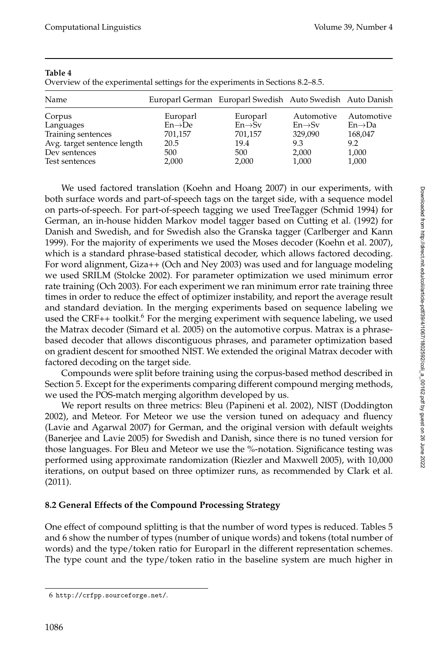| ٠<br>M.<br>۰.<br>- -<br>×<br>o e<br>٧ |  |
|---------------------------------------|--|
|---------------------------------------|--|

Overview of the experimental settings for the experiments in Sections 8.2–8.5.

| Name                        |                     | Europarl German Europarl Swedish Auto Swedish Auto Danish |                     |                     |
|-----------------------------|---------------------|-----------------------------------------------------------|---------------------|---------------------|
| Corpus                      | Europarl            | Europarl                                                  | Automotive          | Automotive          |
| Languages                   | $En \rightarrow De$ | $En \rightarrow Sv$                                       | $En \rightarrow Sv$ | $En \rightarrow Da$ |
| Training sentences          | 701,157             | 701,157                                                   | 329,090             | 168,047             |
| Avg. target sentence length | 20.5                | 19.4                                                      | 9.3                 | 9.2                 |
| Dev sentences               | 500                 | 500                                                       | 2,000               | 1,000               |
| Test sentences              | 2,000               | 2,000                                                     | 1,000               | 1,000               |

We used factored translation (Koehn and Hoang 2007) in our experiments, with both surface words and part-of-speech tags on the target side, with a sequence model on parts-of-speech. For part-of-speech tagging we used TreeTagger (Schmid 1994) for German, an in-house hidden Markov model tagger based on Cutting et al. (1992) for Danish and Swedish, and for Swedish also the Granska tagger (Carlberger and Kann 1999). For the majority of experiments we used the Moses decoder (Koehn et al. 2007), which is a standard phrase-based statistical decoder, which allows factored decoding. For word alignment, Giza++ (Och and Ney 2003) was used and for language modeling we used SRILM (Stolcke 2002). For parameter optimization we used minimum error rate training (Och 2003). For each experiment we ran minimum error rate training three times in order to reduce the effect of optimizer instability, and report the average result and standard deviation. In the merging experiments based on sequence labeling we used the CRF++ toolkit.<sup>6</sup> For the merging experiment with sequence labeling, we used the Matrax decoder (Simard et al. 2005) on the automotive corpus. Matrax is a phrasebased decoder that allows discontiguous phrases, and parameter optimization based on gradient descent for smoothed NIST. We extended the original Matrax decoder with factored decoding on the target side.

Compounds were split before training using the corpus-based method described in Section 5. Except for the experiments comparing different compound merging methods, we used the POS-match merging algorithm developed by us.

We report results on three metrics: Bleu (Papineni et al. 2002), NIST (Doddington 2002), and Meteor. For Meteor we use the version tuned on adequacy and fluency (Lavie and Agarwal 2007) for German, and the original version with default weights (Banerjee and Lavie 2005) for Swedish and Danish, since there is no tuned version for those languages. For Bleu and Meteor we use the %-notation. Significance testing was performed using approximate randomization (Riezler and Maxwell 2005), with 10,000 iterations, on output based on three optimizer runs, as recommended by Clark et al. (2011).

# **8.2 General Effects of the Compound Processing Strategy**

One effect of compound splitting is that the number of word types is reduced. Tables 5 and 6 show the number of types (number of unique words) and tokens (total number of words) and the type/token ratio for Europarl in the different representation schemes. The type count and the type/token ratio in the baseline system are much higher in

<sup>6</sup> http://crfpp.sourceforge.net/.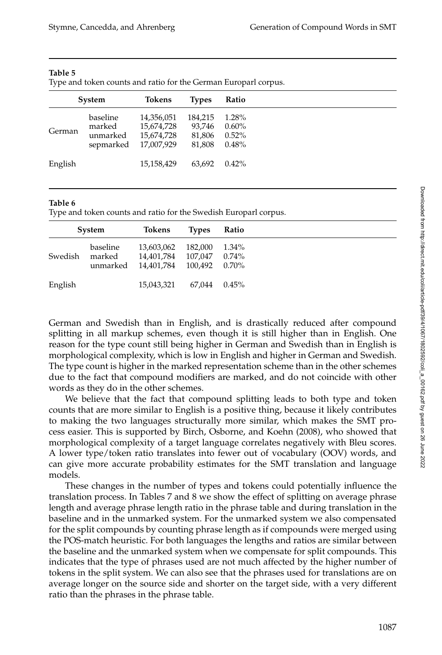|         | System                | Tokens                   | <b>Types</b>      | Ratio             |
|---------|-----------------------|--------------------------|-------------------|-------------------|
| German  | baseline<br>marked    | 14,356,051<br>15,674,728 | 184,215<br>93.746 | 1.28%<br>$0.60\%$ |
|         | unmarked<br>sepmarked | 15,674,728<br>17,007,929 | 81,806<br>81,808  | $0.52\%$<br>0.48% |
| English |                       | 15,158,429               | 63.692            | $0.42\%$          |

#### **Table 5**

Type and token counts and ratio for the German Europarl corpus.

#### **Table 6**

Type and token counts and ratio for the Swedish Europarl corpus.

|         | System   | Tokens                                                                       | <b>Types</b> | Ratio             |
|---------|----------|------------------------------------------------------------------------------|--------------|-------------------|
| Swedish | baseline | 13,603,062<br>marked 14,401,784 107,047<br>unmarked 14,401,784 100,492 0.70% | 182.000      | 1.34%<br>$0.74\%$ |
| English |          | 15.043.321                                                                   | 67.044       | $0.45\%$          |

German and Swedish than in English, and is drastically reduced after compound splitting in all markup schemes, even though it is still higher than in English. One reason for the type count still being higher in German and Swedish than in English is morphological complexity, which is low in English and higher in German and Swedish. The type count is higher in the marked representation scheme than in the other schemes due to the fact that compound modifiers are marked, and do not coincide with other words as they do in the other schemes.

We believe that the fact that compound splitting leads to both type and token counts that are more similar to English is a positive thing, because it likely contributes to making the two languages structurally more similar, which makes the SMT process easier. This is supported by Birch, Osborne, and Koehn (2008), who showed that morphological complexity of a target language correlates negatively with Bleu scores. A lower type/token ratio translates into fewer out of vocabulary (OOV) words, and can give more accurate probability estimates for the SMT translation and language models.

These changes in the number of types and tokens could potentially influence the translation process. In Tables 7 and 8 we show the effect of splitting on average phrase length and average phrase length ratio in the phrase table and during translation in the baseline and in the unmarked system. For the unmarked system we also compensated for the split compounds by counting phrase length as if compounds were merged using the POS-match heuristic. For both languages the lengths and ratios are similar between the baseline and the unmarked system when we compensate for split compounds. This indicates that the type of phrases used are not much affected by the higher number of tokens in the split system. We can also see that the phrases used for translations are on average longer on the source side and shorter on the target side, with a very different ratio than the phrases in the phrase table.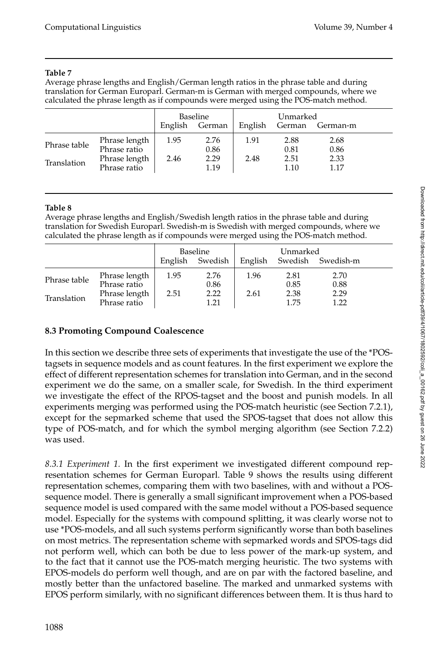# **Table 7**

Average phrase lengths and English/German length ratios in the phrase table and during translation for German Europarl. German-m is German with merged compounds, where we calculated the phrase length as if compounds were merged using the POS-match method.

|                             |                                                                | Baseline     |                              | Unmarked     |                              |                              |  |
|-----------------------------|----------------------------------------------------------------|--------------|------------------------------|--------------|------------------------------|------------------------------|--|
|                             |                                                                | English      | German                       | English      | German                       | German-m                     |  |
| Phrase table<br>Translation | Phrase length<br>Phrase ratio<br>Phrase length<br>Phrase ratio | 1.95<br>2.46 | 2.76<br>0.86<br>2.29<br>1.19 | 1.91<br>2.48 | 2.88<br>0.81<br>2.51<br>1.10 | 2.68<br>0.86<br>2.33<br>1.17 |  |

#### **Table 8**

Average phrase lengths and English/Swedish length ratios in the phrase table and during translation for Swedish Europarl. Swedish-m is Swedish with merged compounds, where we calculated the phrase length as if compounds were merged using the POS-match method.

|              |                               | Baseline |              | Unmarked |              |              |  |
|--------------|-------------------------------|----------|--------------|----------|--------------|--------------|--|
|              |                               | English  | Swedish      | English  | Swedish      | Swedish-m    |  |
| Phrase table | Phrase length<br>Phrase ratio | 1.95     | 2.76<br>0.86 | 1.96     | 2.81<br>0.85 | 2.70<br>0.88 |  |
| Translation  | Phrase length<br>Phrase ratio | 2.51     | 2.22<br>1.21 | 2.61     | 2.38<br>1.75 | 2.29<br>1.22 |  |

# **8.3 Promoting Compound Coalescence**

In this section we describe three sets of experiments that investigate the use of the \*POStagsets in sequence models and as count features. In the first experiment we explore the effect of different representation schemes for translation into German, and in the second experiment we do the same, on a smaller scale, for Swedish. In the third experiment we investigate the effect of the RPOS-tagset and the boost and punish models. In all experiments merging was performed using the POS-match heuristic (see Section 7.2.1), except for the sepmarked scheme that used the SPOS-tagset that does not allow this type of POS-match, and for which the symbol merging algorithm (see Section 7.2.2) was used.

*8.3.1 Experiment 1.* In the first experiment we investigated different compound representation schemes for German Europarl. Table 9 shows the results using different representation schemes, comparing them with two baselines, with and without a POSsequence model. There is generally a small significant improvement when a POS-based sequence model is used compared with the same model without a POS-based sequence model. Especially for the systems with compound splitting, it was clearly worse not to use \*POS-models, and all such systems perform significantly worse than both baselines on most metrics. The representation scheme with sepmarked words and SPOS-tags did not perform well, which can both be due to less power of the mark-up system, and to the fact that it cannot use the POS-match merging heuristic. The two systems with EPOS-models do perform well though, and are on par with the factored baseline, and mostly better than the unfactored baseline. The marked and unmarked systems with EPOS perform similarly, with no significant differences between them. It is thus hard to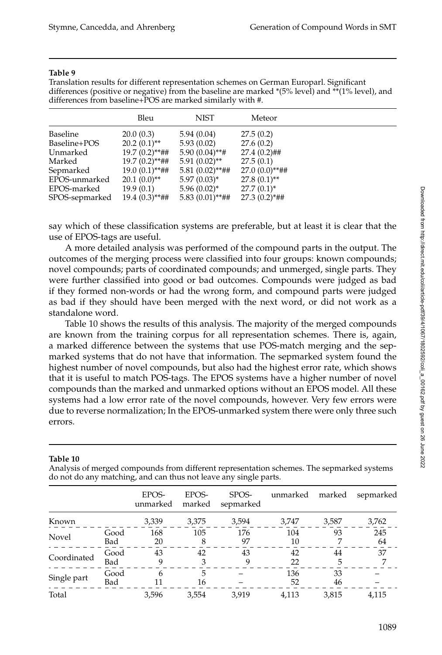Translation results for different representation schemes on German Europarl. Significant differences (positive or negative) from the baseline are marked \*(5% level) and \*\*(1% level), and differences from baseline+POS are marked similarly with #.

|                | Bleu             | <b>NIST</b>       | Meteor              |
|----------------|------------------|-------------------|---------------------|
| Baseline       | 20.0(0.3)        | 5.94(0.04)        | 27.5(0.2)           |
| Baseline+POS   | $20.2(0.1)$ **   | 5.93(0.02)        | 27.6(0.2)           |
| Unmarked       | $19.7(0.2)$ **## | $5.90(0.04)$ **#  | $27.4(0.2)$ ##      |
| Marked         | $19.7(0.2)$ **## | $5.91(0.02)$ **   | 27.5(0.1)           |
| Sepmarked      | $19.0(0.1)$ **## | $5.81(0.02)$ **## | $27.0(0.0)**{#}{#}$ |
| EPOS-unmarked  | $20.1(0.0)$ **   | $5.97(0.03)^{*}$  | $27.8(0.1)$ **      |
| EPOS-marked    | 19.9(0.1)        | $5.96(0.02)^{*}$  | $27.7(0.1)^*$       |
| SPOS-sepmarked | $19.4(0.3)$ **## | $5.83(0.01)$ **## | $27.3(0.2)*{#}{#}$  |

say which of these classification systems are preferable, but at least it is clear that the use of EPOS-tags are useful.

A more detailed analysis was performed of the compound parts in the output. The outcomes of the merging process were classified into four groups: known compounds; novel compounds; parts of coordinated compounds; and unmerged, single parts. They were further classified into good or bad outcomes. Compounds were judged as bad if they formed non-words or had the wrong form, and compound parts were judged as bad if they should have been merged with the next word, or did not work as a standalone word.

Table 10 shows the results of this analysis. The majority of the merged compounds are known from the training corpus for all representation schemes. There is, again, a marked difference between the systems that use POS-match merging and the sepmarked systems that do not have that information. The sepmarked system found the highest number of novel compounds, but also had the highest error rate, which shows that it is useful to match POS-tags. The EPOS systems have a higher number of novel compounds than the marked and unmarked options without an EPOS model. All these systems had a low error rate of the novel compounds, however. Very few errors were due to reverse normalization; In the EPOS-unmarked system there were only three such errors.

#### **Table 10**

Analysis of merged compounds from different representation schemes. The sepmarked systems do not do any matching, and can thus not leave any single parts.

|             |             | EPOS-<br>unmarked | EPOS-<br>marked | SPOS-<br>sepmarked | unmarked  | marked   | sepmarked |
|-------------|-------------|-------------------|-----------------|--------------------|-----------|----------|-----------|
| Known       |             | 3,339             | 3,375           | 3,594              | 3,747     | 3,587    | 3,762     |
| Novel       | Good<br>Bad | 168<br>20         | 105             | 176<br>97          | 104<br>10 | 93       | 245<br>64 |
| Coordinated | Good<br>Bad | 43<br>9           | 42              | 43<br>9            | 42<br>22  | 44<br>5  | 37        |
| Single part | Good<br>Bad | 6                 | 5<br>16         |                    | 136<br>52 | 33<br>46 |           |
| Total       |             | 3.596             | 3,554           | 3.919              | 4,113     | 3,815    | 4,115     |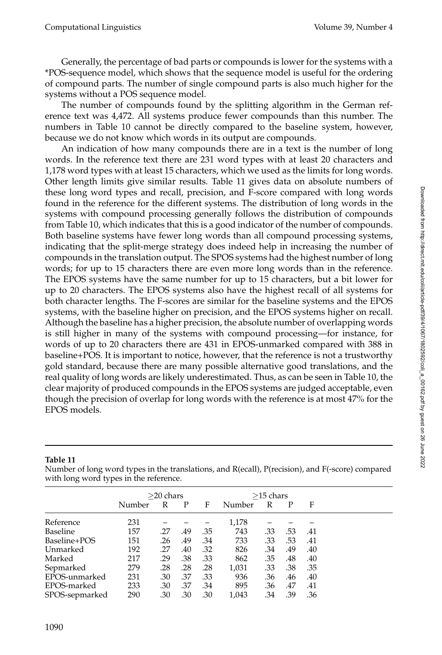Generally, the percentage of bad parts or compounds is lower for the systems with a \*POS-sequence model, which shows that the sequence model is useful for the ordering of compound parts. The number of single compound parts is also much higher for the systems without a POS sequence model.

The number of compounds found by the splitting algorithm in the German reference text was 4,472. All systems produce fewer compounds than this number. The numbers in Table 10 cannot be directly compared to the baseline system, however, because we do not know which words in its output are compounds.

An indication of how many compounds there are in a text is the number of long words. In the reference text there are 231 word types with at least 20 characters and 1,178 word types with at least 15 characters, which we used as the limits for long words. Other length limits give similar results. Table 11 gives data on absolute numbers of these long word types and recall, precision, and F-score compared with long words found in the reference for the different systems. The distribution of long words in the systems with compound processing generally follows the distribution of compounds from Table 10, which indicates that this is a good indicator of the number of compounds. Both baseline systems have fewer long words than all compound processing systems, indicating that the split-merge strategy does indeed help in increasing the number of compounds in the translation output. The SPOS systems had the highest number of long words; for up to 15 characters there are even more long words than in the reference. The EPOS systems have the same number for up to 15 characters, but a bit lower for up to 20 characters. The EPOS systems also have the highest recall of all systems for both character lengths. The F-scores are similar for the baseline systems and the EPOS systems, with the baseline higher on precision, and the EPOS systems higher on recall. Although the baseline has a higher precision, the absolute number of overlapping words is still higher in many of the systems with compound processing—for instance, for words of up to 20 characters there are 431 in EPOS-unmarked compared with 388 in baseline+POS. It is important to notice, however, that the reference is not a trustworthy gold standard, because there are many possible alternative good translations, and the real quality of long words are likely underestimated. Thus, as can be seen in Table 10, the clear majority of produced compounds in the EPOS systems are judged acceptable, even though the precision of overlap for long words with the reference is at most 47% for the EPOS models.

| when tong word types in the reference. |              |     |     |     |             |     |     |     |  |  |
|----------------------------------------|--------------|-----|-----|-----|-------------|-----|-----|-----|--|--|
|                                        | $>$ 20 chars |     |     |     | $>15$ chars |     |     |     |  |  |
|                                        | Number       | R   | P   | F   | Number      | R   | P   | F   |  |  |
| Reference                              | 231          |     |     |     | 1,178       |     |     |     |  |  |
| Baseline                               | 157          | .27 | .49 | .35 | 743         | .33 | .53 | .41 |  |  |
| Baseline+POS                           | 151          | .26 | .49 | .34 | 733         | .33 | .53 | .41 |  |  |
| Unmarked                               | 192          | .27 | .40 | .32 | 826         | .34 | .49 | .40 |  |  |
| Marked                                 | 217          | .29 | .38 | .33 | 862         | .35 | .48 | .40 |  |  |
| Sepmarked                              | 279          | .28 | .28 | .28 | 1,031       | .33 | .38 | .35 |  |  |
| EPOS-unmarked                          | 231          | .30 | .37 | .33 | 936         | .36 | .46 | .40 |  |  |
| EPOS-marked                            | 233          | .30 | .37 | .34 | 895         | .36 | .47 | .41 |  |  |
| SPOS-sepmarked                         | 290          | .30 | .30 | .30 | 1,043       | .34 | .39 | .36 |  |  |

**Table 11**

Number of long word types in the translations, and R(ecall), P(recision), and F(-score) compared with long word types in the reference.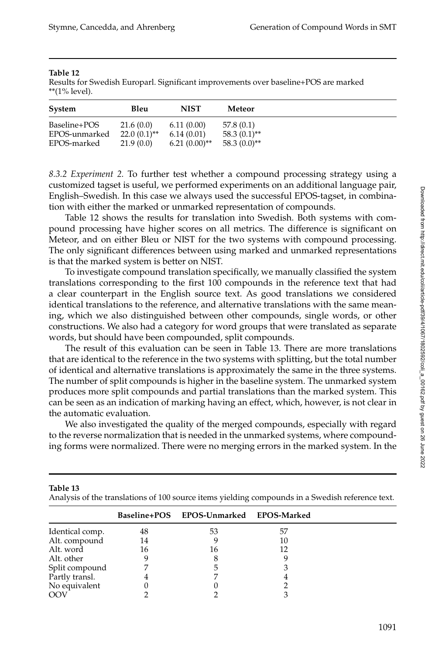#### **Table 12**

**Table 13**

Results for Swedish Europarl. Significant improvements over baseline+POS are marked \*\*(1% level).

| System                        | Bleu                        | <b>NIST</b>              | Meteor                      |
|-------------------------------|-----------------------------|--------------------------|-----------------------------|
| Baseline+POS<br>EPOS-unmarked | 21.6(0.0)<br>$22.0(0.1)$ ** | 6.11(0.00)<br>6.14(0.01) | 57.8(0.1)<br>$58.3(0.1)$ ** |
| EPOS-marked                   | 21.9(0.0)                   | $6.21(0.00)$ **          | $58.3(0.0)$ **              |

*8.3.2 Experiment 2.* To further test whether a compound processing strategy using a customized tagset is useful, we performed experiments on an additional language pair, English–Swedish. In this case we always used the successful EPOS-tagset, in combination with either the marked or unmarked representation of compounds.

Table 12 shows the results for translation into Swedish. Both systems with compound processing have higher scores on all metrics. The difference is significant on Meteor, and on either Bleu or NIST for the two systems with compound processing. The only significant differences between using marked and unmarked representations is that the marked system is better on NIST.

To investigate compound translation specifically, we manually classified the system translations corresponding to the first 100 compounds in the reference text that had a clear counterpart in the English source text. As good translations we considered identical translations to the reference, and alternative translations with the same meaning, which we also distinguished between other compounds, single words, or other constructions. We also had a category for word groups that were translated as separate words, but should have been compounded, split compounds.

The result of this evaluation can be seen in Table 13. There are more translations that are identical to the reference in the two systems with splitting, but the total number of identical and alternative translations is approximately the same in the three systems. The number of split compounds is higher in the baseline system. The unmarked system produces more split compounds and partial translations than the marked system. This can be seen as an indication of marking having an effect, which, however, is not clear in the automatic evaluation.

We also investigated the quality of the merged compounds, especially with regard to the reverse normalization that is needed in the unmarked systems, where compounding forms were normalized. There were no merging errors in the marked system. In the

|                 |    | . .                                    |    |  |
|-----------------|----|----------------------------------------|----|--|
|                 |    | Baseline+POS EPOS-Unmarked EPOS-Marked |    |  |
| Identical comp. | 48 | 53                                     | 57 |  |
| Alt. compound   | 14 |                                        | 10 |  |
| Alt. word       | 16 | 16                                     |    |  |
| Alt. other      |    |                                        |    |  |
| Split compound  |    |                                        |    |  |
| Partly transl.  |    |                                        |    |  |
| No equivalent   |    |                                        |    |  |
| OO\             |    |                                        |    |  |
|                 |    |                                        |    |  |

Analysis of the translations of 100 source items yielding compounds in a Swedish reference text.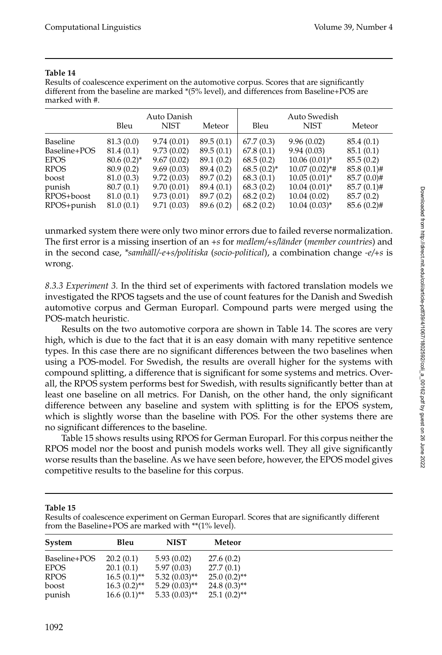| ı<br>٠<br>٠<br>٧<br>- 1<br>- - |  |
|--------------------------------|--|
|--------------------------------|--|

Results of coalescence experiment on the automotive corpus. Scores that are significantly different from the baseline are marked \*(5% level), and differences from Baseline+POS are marked with #.

|                 | Bleu          | Auto Danish<br><b>NIST</b> | Meteor     | Bleu            | Auto Swedish<br><b>NIST</b> | Meteor        |
|-----------------|---------------|----------------------------|------------|-----------------|-----------------------------|---------------|
| <b>Baseline</b> | 81.3(0.0)     | 9.74(0.01)                 | 89.5(0.1)  | 67.7(0.3)       | 9.96(0.02)                  | 85.4 (0.1)    |
| Baseline+POS    | 81.4(0.1)     | 9.73(0.02)                 | 89.5(0.1)  | 67.8(0.1)       | 9.94(0.03)                  | 85.1(0.1)     |
| <b>EPOS</b>     | $80.6(0.2)^*$ | 9.67(0.02)                 | 89.1 (0.2) | 68.5(0.2)       | $10.06(0.01)^*$             | 85.5(0.2)     |
| RPOS            | 80.9(0.2)     | 9.69(0.03)                 | 89.4 (0.2) | $68.5(0.2)^{*}$ | $10.07(0.02)*$ #            | $85.8(0.1)$ # |
| boost           | 81.0 (0.3)    | 9.72(0.03)                 | 89.7 (0.2) | 68.3(0.1)       | $10.05(0.01)^{*}$           | $85.7(0.0)$ # |
| punish          | 80.7(0.1)     | 9.70(0.01)                 | 89.4 (0.1) | 68.3(0.2)       | $10.04(0.01)^{*}$           | $85.7(0.1)$ # |
| RPOS+boost      | 81.0(0.1)     | 9.73(0.01)                 | 89.7 (0.2) | 68.2(0.2)       | 10.04(0.02)                 | 85.7 (0.2)    |
| RPOS+punish     | 81.0(0.1)     | 9.71(0.03)                 | 89.6 (0.2) | 68.2(0.2)       | $10.04(0.03)$ *             | $85.6(0.2)$ # |

unmarked system there were only two minor errors due to failed reverse normalization. The first error is a missing insertion of an +s for *medlem*/+s/länder (*member countries*) and in the second case, *\*samhäll/-e+s/politiska* (*socio-political*), a combination change *-e/+s* is wrong.

*8.3.3 Experiment 3.* In the third set of experiments with factored translation models we investigated the RPOS tagsets and the use of count features for the Danish and Swedish automotive corpus and German Europarl. Compound parts were merged using the POS-match heuristic.

Results on the two automotive corpora are shown in Table 14. The scores are very high, which is due to the fact that it is an easy domain with many repetitive sentence types. In this case there are no significant differences between the two baselines when using a POS-model. For Swedish, the results are overall higher for the systems with compound splitting, a difference that is significant for some systems and metrics. Overall, the RPOS system performs best for Swedish, with results significantly better than at least one baseline on all metrics. For Danish, on the other hand, the only significant difference between any baseline and system with splitting is for the EPOS system, which is slightly worse than the baseline with POS. For the other systems there are no significant differences to the baseline.

Table 15 shows results using RPOS for German Europarl. For this corpus neither the RPOS model nor the boost and punish models works well. They all give significantly worse results than the baseline. As we have seen before, however, the EPOS model gives competitive results to the baseline for this corpus.

**Table 15**

Results of coalescence experiment on German Europarl. Scores that are significantly different from the Baseline+POS are marked with \*\*(1% level).

| System       | Bleu           | <b>NIST</b>     | Meteor         |
|--------------|----------------|-----------------|----------------|
| Baseline+POS | 20.2(0.1)      | 5.93(0.02)      | 27.6(0.2)      |
| EPOS         | 20.1(0.1)      | 5.97(0.03)      | 27.7(0.1)      |
| RPOS         | $16.5(0.1)$ ** | $5.32(0.03)$ ** | $25.0(0.2)$ ** |
| boost        | $16.3(0.2)$ ** | $5.29(0.03)$ ** | $24.8(0.3)$ ** |
| punish       | $16.6(0.1)$ ** | $5.33(0.03)$ ** | $25.1(0.2)$ ** |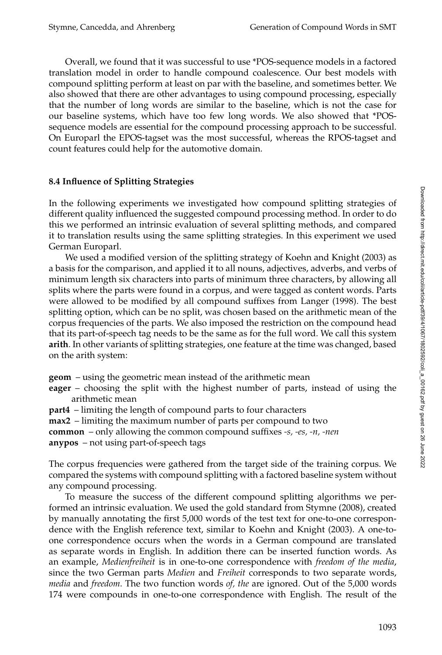Overall, we found that it was successful to use \*POS-sequence models in a factored translation model in order to handle compound coalescence. Our best models with compound splitting perform at least on par with the baseline, and sometimes better. We also showed that there are other advantages to using compound processing, especially that the number of long words are similar to the baseline, which is not the case for our baseline systems, which have too few long words. We also showed that \*POSsequence models are essential for the compound processing approach to be successful. On Europarl the EPOS-tagset was the most successful, whereas the RPOS-tagset and count features could help for the automotive domain.

# **8.4 Influence of Splitting Strategies**

In the following experiments we investigated how compound splitting strategies of different quality influenced the suggested compound processing method. In order to do this we performed an intrinsic evaluation of several splitting methods, and compared it to translation results using the same splitting strategies. In this experiment we used German Europarl.

We used a modified version of the splitting strategy of Koehn and Knight (2003) as a basis for the comparison, and applied it to all nouns, adjectives, adverbs, and verbs of minimum length six characters into parts of minimum three characters, by allowing all splits where the parts were found in a corpus, and were tagged as content words. Parts were allowed to be modified by all compound suffixes from Langer (1998). The best splitting option, which can be no split, was chosen based on the arithmetic mean of the corpus frequencies of the parts. We also imposed the restriction on the compound head that its part-of-speech tag needs to be the same as for the full word. We call this system **arith**. In other variants of splitting strategies, one feature at the time was changed, based on the arith system:

**geom** – using the geometric mean instead of the arithmetic mean

**eager** – choosing the split with the highest number of parts, instead of using the arithmetic mean

**part4** – limiting the length of compound parts to four characters

**max2** – limiting the maximum number of parts per compound to two

**common** – only allowing the common compound suffixes *-s, -es, -n, -nen*

**anypos** – not using part-of-speech tags

The corpus frequencies were gathered from the target side of the training corpus. We compared the systems with compound splitting with a factored baseline system without any compound processing.

To measure the success of the different compound splitting algorithms we performed an intrinsic evaluation. We used the gold standard from Stymne (2008), created by manually annotating the first 5,000 words of the test text for one-to-one correspondence with the English reference text, similar to Koehn and Knight (2003). A one-toone correspondence occurs when the words in a German compound are translated as separate words in English. In addition there can be inserted function words. As an example, *Medienfreiheit* is in one-to-one correspondence with *freedom of the media*, since the two German parts *Medien* and *Freiheit* corresponds to two separate words, *media* and *freedom*. The two function words *of, the* are ignored. Out of the 5,000 words 174 were compounds in one-to-one correspondence with English. The result of the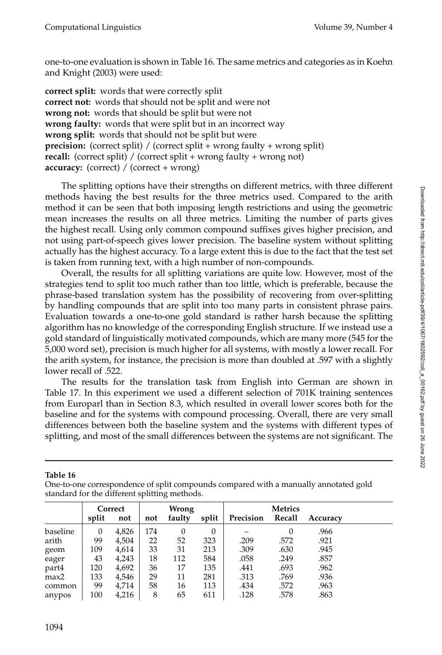one-to-one evaluation is shown in Table 16. The same metrics and categories as in Koehn and Knight (2003) were used:

**correct split:** words that were correctly split **correct not:** words that should not be split and were not **wrong not:** words that should be split but were not **wrong faulty:** words that were split but in an incorrect way **wrong split:** words that should not be split but were **precision:** (correct split) / (correct split + wrong faulty + wrong split) **recall:** (correct split) / (correct split + wrong faulty + wrong not) **accuracy:** (correct) / (correct + wrong)

The splitting options have their strengths on different metrics, with three different methods having the best results for the three metrics used. Compared to the arith method it can be seen that both imposing length restrictions and using the geometric mean increases the results on all three metrics. Limiting the number of parts gives the highest recall. Using only common compound suffixes gives higher precision, and not using part-of-speech gives lower precision. The baseline system without splitting actually has the highest accuracy. To a large extent this is due to the fact that the test set is taken from running text, with a high number of non-compounds.

Overall, the results for all splitting variations are quite low. However, most of the strategies tend to split too much rather than too little, which is preferable, because the phrase-based translation system has the possibility of recovering from over-splitting by handling compounds that are split into too many parts in consistent phrase pairs. Evaluation towards a one-to-one gold standard is rather harsh because the splitting algorithm has no knowledge of the corresponding English structure. If we instead use a gold standard of linguistically motivated compounds, which are many more (545 for the 5,000 word set), precision is much higher for all systems, with mostly a lower recall. For the arith system, for instance, the precision is more than doubled at .597 with a slightly lower recall of .522.

The results for the translation task from English into German are shown in Table 17. In this experiment we used a different selection of 701K training sentences from Europarl than in Section 8.3, which resulted in overall lower scores both for the baseline and for the systems with compound processing. Overall, there are very small differences between both the baseline system and the systems with different types of splitting, and most of the small differences between the systems are not significant. The

**Table 16**

One-to-one correspondence of split compounds compared with a manually annotated gold standard for the different splitting methods.

|          |          | Correct | Wrong |          |          |           |        |          |
|----------|----------|---------|-------|----------|----------|-----------|--------|----------|
|          | split    | not     | not   | faulty   | split    | Precision | Recall | Accuracy |
| baseline | $\theta$ | 4,826   | 174   | $\theta$ | $\theta$ |           |        | .966     |
| arith    | 99       | 4,504   | 22    | 52       | 323      | .209      | .572   | .921     |
| geom     | 109      | 4,614   | 33    | 31       | 213      | .309      | .630   | .945     |
| eager    | 43       | 4,243   | 18    | 112      | 584      | .058      | .249   | .857     |
| part4    | 120      | 4,692   | 36    | 17       | 135      | .441      | .693   | .962     |
| max2     | 133      | 4,546   | 29    | 11       | 281      | .313      | .769   | .936     |
| common   | 99       | 4,714   | 58    | 16       | 113      | .434      | .572   | .963     |
| anypos   | 100      | 4,216   | 8     | 65       | 611      | .128      | .578   | .863     |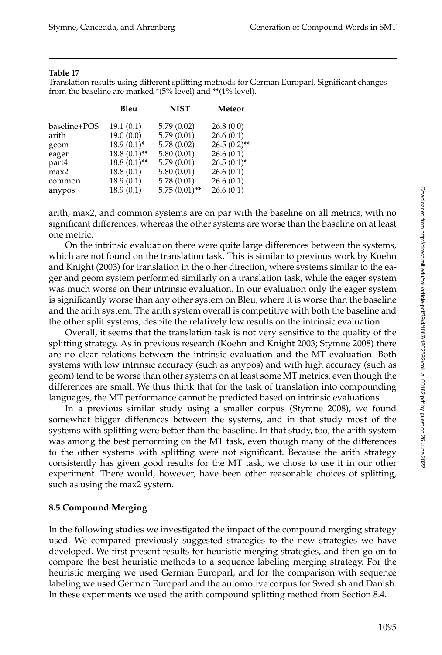| ш<br>п<br>г<br>n |  |
|------------------|--|
|------------------|--|

Translation results using different splitting methods for German Europarl. Significant changes from the baseline are marked \*(5% level) and \*\*(1% level).

|              | Bleu            | <b>NIST</b>     | Meteor          |
|--------------|-----------------|-----------------|-----------------|
| baseline+POS | 19.1(0.1)       | 5.79(0.02)      | 26.8(0.0)       |
| arith        | 19.0(0.0)       | 5.79(0.01)      | 26.6(0.1)       |
| geom         | $18.9(0.1)^{*}$ | 5.78(0.02)      | $26.5(0.2)$ **  |
| eager        | $18.8(0.1)$ **  | 5.80(0.01)      | 26.6(0.1)       |
| part4        | $18.8(0.1)$ **  | 5.79(0.01)      | $26.5(0.1)^{*}$ |
| max2         | 18.8(0.1)       | 5.80(0.01)      | 26.6(0.1)       |
| common       | 18.9(0.1)       | 5.78(0.01)      | 26.6(0.1)       |
| anypos       | 18.9(0.1)       | $5.75(0.01)$ ** | 26.6(0.1)       |

arith, max2, and common systems are on par with the baseline on all metrics, with no significant differences, whereas the other systems are worse than the baseline on at least one metric.

On the intrinsic evaluation there were quite large differences between the systems, which are not found on the translation task. This is similar to previous work by Koehn and Knight (2003) for translation in the other direction, where systems similar to the eager and geom system performed similarly on a translation task, while the eager system was much worse on their intrinsic evaluation. In our evaluation only the eager system is significantly worse than any other system on Bleu, where it is worse than the baseline and the arith system. The arith system overall is competitive with both the baseline and the other split systems, despite the relatively low results on the intrinsic evaluation.

Overall, it seems that the translation task is not very sensitive to the quality of the splitting strategy. As in previous research (Koehn and Knight 2003; Stymne 2008) there are no clear relations between the intrinsic evaluation and the MT evaluation. Both systems with low intrinsic accuracy (such as anypos) and with high accuracy (such as geom) tend to be worse than other systems on at least some MT metrics, even though the differences are small. We thus think that for the task of translation into compounding languages, the MT performance cannot be predicted based on intrinsic evaluations.

In a previous similar study using a smaller corpus (Stymne 2008), we found somewhat bigger differences between the systems, and in that study most of the systems with splitting were better than the baseline. In that study, too, the arith system was among the best performing on the MT task, even though many of the differences to the other systems with splitting were not significant. Because the arith strategy consistently has given good results for the MT task, we chose to use it in our other experiment. There would, however, have been other reasonable choices of splitting, such as using the max2 system.

# **8.5 Compound Merging**

In the following studies we investigated the impact of the compound merging strategy used. We compared previously suggested strategies to the new strategies we have developed. We first present results for heuristic merging strategies, and then go on to compare the best heuristic methods to a sequence labeling merging strategy. For the heuristic merging we used German Europarl, and for the comparison with sequence labeling we used German Europarl and the automotive corpus for Swedish and Danish. In these experiments we used the arith compound splitting method from Section 8.4.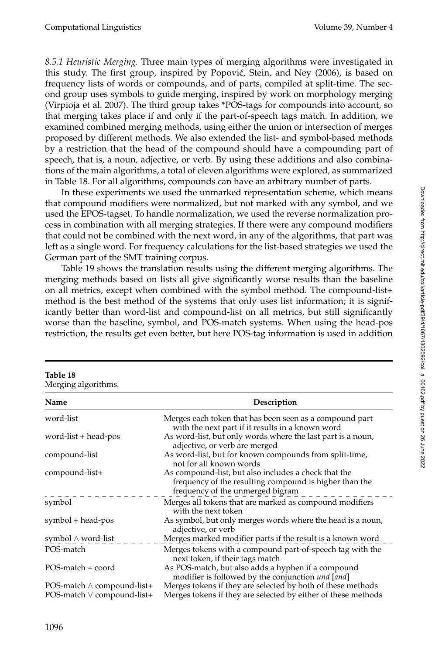*8.5.1 Heuristic Merging.* Three main types of merging algorithms were investigated in this study. The first group, inspired by Popovic, Stein, and Ney (2006), is based on ´ frequency lists of words or compounds, and of parts, compiled at split-time. The second group uses symbols to guide merging, inspired by work on morphology merging (Virpioja et al. 2007). The third group takes \*POS-tags for compounds into account, so that merging takes place if and only if the part-of-speech tags match. In addition, we examined combined merging methods, using either the union or intersection of merges proposed by different methods. We also extended the list- and symbol-based methods by a restriction that the head of the compound should have a compounding part of speech, that is, a noun, adjective, or verb. By using these additions and also combinations of the main algorithms, a total of eleven algorithms were explored, as summarized in Table 18. For all algorithms, compounds can have an arbitrary number of parts.

In these experiments we used the unmarked representation scheme, which means that compound modifiers were normalized, but not marked with any symbol, and we used the EPOS-tagset. To handle normalization, we used the reverse normalization process in combination with all merging strategies. If there were any compound modifiers that could not be combined with the next word, in any of the algorithms, that part was left as a single word. For frequency calculations for the list-based strategies we used the German part of the SMT training corpus.

Table 19 shows the translation results using the different merging algorithms. The merging methods based on lists all give significantly worse results than the baseline on all metrics, except when combined with the symbol method. The compound-list+ method is the best method of the systems that only uses list information; it is significantly better than word-list and compound-list on all metrics, but still significantly worse than the baseline, symbol, and POS-match systems. When using the head-pos restriction, the results get even better, but here POS-tag information is used in addition

| Merging algorithms.               |                                                                                                                                                    |
|-----------------------------------|----------------------------------------------------------------------------------------------------------------------------------------------------|
| Name                              | Description                                                                                                                                        |
| word-list                         | Merges each token that has been seen as a compound part<br>with the next part if it results in a known word                                        |
| word-list $+$ head-pos            | As word-list, but only words where the last part is a noun,<br>adjective, or verb are merged                                                       |
| compound-list                     | As word-list, but for known compounds from split-time,<br>not for all known words                                                                  |
| compound-list+                    | As compound-list, but also includes a check that the<br>frequency of the resulting compound is higher than the<br>frequency of the unmerged bigram |
| symbol                            | Merges all tokens that are marked as compound modifiers<br>with the next token                                                                     |
| symbol + head-pos                 | As symbol, but only merges words where the head is a noun,<br>adjective, or verb                                                                   |
| symbol ∧ word-list                | Merges marked modifier parts if the result is a known word                                                                                         |
| POS-match                         | Merges tokens with a compound part-of-speech tag with the<br>next token, if their tags match                                                       |
| POS-match + coord                 | As POS-match, but also adds a hyphen if a compound<br>modifier is followed by the conjunction <i>und</i> [ <i>and</i> ]                            |
| POS-match $\wedge$ compound-list+ | Merges tokens if they are selected by both of these methods                                                                                        |
| POS-match $\vee$ compound-list+   | Merges tokens if they are selected by either of these methods                                                                                      |

**Table 18** Merging algorithms. Downloaded from http://direct.mit.edu/coli/article-pdf/39/4/1067/1802592/coli\_a\_00162.pdf by guest on 26 June 2022 Downloaded from http://direct.mit.edu/coli/article-pdf/39/4/1067/1802592/coli\_a\_00162.pdf by guest on 26 June 2022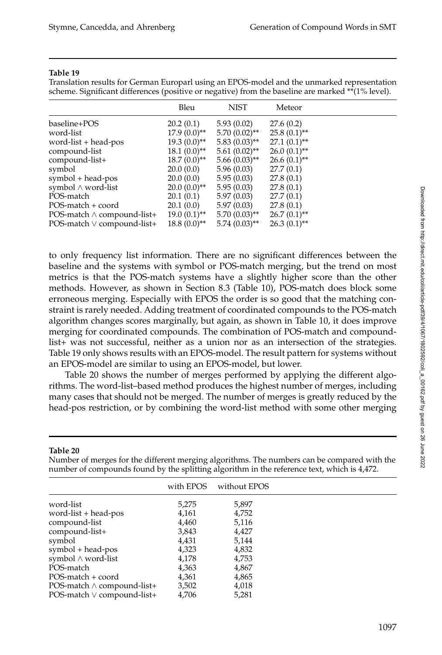#### **Table 19**

Translation results for German Europarl using an EPOS-model and the unmarked representation scheme. Significant differences (positive or negative) from the baseline are marked \*\*(1% level).

| Bleu           | <b>NIST</b>                      | Meteor         |                |
|----------------|----------------------------------|----------------|----------------|
| 20.2(0.1)      | 5.93(0.02)                       | 27.6(0.2)      |                |
| $17.9(0.0)$ ** | $5.70(0.02)$ **                  | $25.8(0.1)$ ** |                |
| $19.3(0.0)$ ** | $5.83(0.03)$ **                  | $27.1(0.1)$ ** |                |
| $18.1(0.0)$ ** | $5.61(0.02)$ **                  | $26.0(0.1)$ ** |                |
| $18.7(0.0)$ ** | $5.66(0.03)$ **                  | $26.6(0.1)$ ** |                |
| 20.0(0.0)      | 5.96(0.03)                       | 27.7(0.1)      |                |
| 20.0(0.0)      | 5.95(0.03)                       | 27.8(0.1)      |                |
|                | 5.95(0.03)                       | 27.8(0.1)      |                |
| 20.1(0.1)      | 5.97(0.03)                       | 27.7(0.1)      |                |
| 20.1(0.0)      | 5.97(0.03)                       | 27.8(0.1)      |                |
|                | $5.70(0.03)$ **                  |                |                |
| $18.8(0.0)$ ** | $5.74(0.03)$ **                  | $26.3(0.1)$ ** |                |
|                | $20.0(0.0)$ **<br>$19.0(0.1)$ ** |                | $26.7(0.1)$ ** |

to only frequency list information. There are no significant differences between the baseline and the systems with symbol or POS-match merging, but the trend on most metrics is that the POS-match systems have a slightly higher score than the other methods. However, as shown in Section 8.3 (Table 10), POS-match does block some erroneous merging. Especially with EPOS the order is so good that the matching constraint is rarely needed. Adding treatment of coordinated compounds to the POS-match algorithm changes scores marginally, but again, as shown in Table 10, it does improve merging for coordinated compounds. The combination of POS-match and compoundlist+ was not successful, neither as a union nor as an intersection of the strategies. Table 19 only shows results with an EPOS-model. The result pattern for systems without an EPOS-model are similar to using an EPOS-model, but lower.

Table 20 shows the number of merges performed by applying the different algorithms. The word-list–based method produces the highest number of merges, including many cases that should not be merged. The number of merges is greatly reduced by the head-pos restriction, or by combining the word-list method with some other merging

#### **Table 20**

| number of compounds found by the splitting algorithm in the reference text, which is 4,472. |           |              |  |  |  |  |  |
|---------------------------------------------------------------------------------------------|-----------|--------------|--|--|--|--|--|
|                                                                                             | with EPOS | without EPOS |  |  |  |  |  |
| word-list                                                                                   | 5,275     | 5,897        |  |  |  |  |  |
| word-list + head-pos                                                                        | 4,161     | 4,752        |  |  |  |  |  |
| compound-list                                                                               | 4,460     | 5,116        |  |  |  |  |  |
| compound-list+                                                                              | 3,843     | 4,427        |  |  |  |  |  |
| symbol                                                                                      | 4,431     | 5,144        |  |  |  |  |  |
| symbol + head-pos                                                                           | 4,323     | 4,832        |  |  |  |  |  |
| symbol∧ word-list                                                                           | 4.178     | 4,753        |  |  |  |  |  |
| POS-match                                                                                   | 4,363     | 4,867        |  |  |  |  |  |
| POS-match + coord                                                                           | 4,361     | 4,865        |  |  |  |  |  |
| POS-match ∧ compound-list+                                                                  | 3,502     | 4,018        |  |  |  |  |  |
| POS-match ∨ compound-list+                                                                  | 4,706     | 5,281        |  |  |  |  |  |

Number of merges for the different merging algorithms. The numbers can be compared with the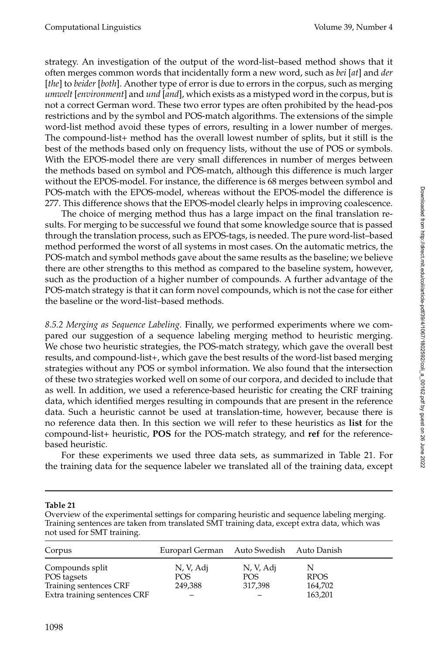strategy. An investigation of the output of the word-list–based method shows that it often merges common words that incidentally form a new word, such as *bei* [*at*] and *der* [*the*] to *beider* [*both*]. Another type of error is due to errors in the corpus, such as merging *umwelt* [*environment*] and *und* [*and*], which exists as a mistyped word in the corpus, but is not a correct German word. These two error types are often prohibited by the head-pos restrictions and by the symbol and POS-match algorithms. The extensions of the simple word-list method avoid these types of errors, resulting in a lower number of merges. The compound-list+ method has the overall lowest number of splits, but it still is the best of the methods based only on frequency lists, without the use of POS or symbols. With the EPOS-model there are very small differences in number of merges between the methods based on symbol and POS-match, although this difference is much larger without the EPOS-model. For instance, the difference is 68 merges between symbol and POS-match with the EPOS-model, whereas without the EPOS-model the difference is 277. This difference shows that the EPOS-model clearly helps in improving coalescence.

The choice of merging method thus has a large impact on the final translation results. For merging to be successful we found that some knowledge source that is passed through the translation process, such as EPOS-tags, is needed. The pure word-list–based method performed the worst of all systems in most cases. On the automatic metrics, the POS-match and symbol methods gave about the same results as the baseline; we believe there are other strengths to this method as compared to the baseline system, however, such as the production of a higher number of compounds. A further advantage of the POS-match strategy is that it can form novel compounds, which is not the case for either the baseline or the word-list–based methods.

*8.5.2 Merging as Sequence Labeling.* Finally, we performed experiments where we compared our suggestion of a sequence labeling merging method to heuristic merging. We chose two heuristic strategies, the POS-match strategy, which gave the overall best results, and compound-list+, which gave the best results of the word-list based merging strategies without any POS or symbol information. We also found that the intersection of these two strategies worked well on some of our corpora, and decided to include that as well. In addition, we used a reference-based heuristic for creating the CRF training data, which identified merges resulting in compounds that are present in the reference data. Such a heuristic cannot be used at translation-time, however, because there is no reference data then. In this section we will refer to these heuristics as **list** for the compound-list+ heuristic, **POS** for the POS-match strategy, and **ref** for the referencebased heuristic.

For these experiments we used three data sets, as summarized in Table 21. For the training data for the sequence labeler we translated all of the training data, except

# **Table 21**

Overview of the experimental settings for comparing heuristic and sequence labeling merging. Training sentences are taken from translated SMT training data, except extra data, which was not used for SMT training.

| Corpus                       | Europarl German Auto Swedish Auto Danish |           |             |
|------------------------------|------------------------------------------|-----------|-------------|
| Compounds split              | N, V, Adj                                | N, V, Adj |             |
| POS tagsets                  | POS                                      | POS.      | <b>RPOS</b> |
| Training sentences CRF       | 249,388                                  | 317,398   | 164,702     |
| Extra training sentences CRF |                                          |           | 163,201     |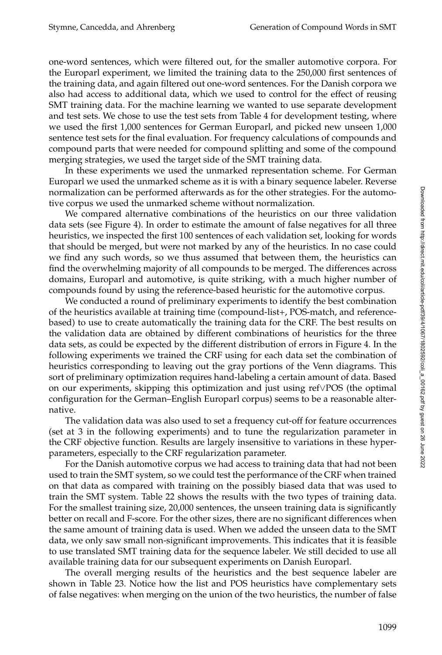one-word sentences, which were filtered out, for the smaller automotive corpora. For the Europarl experiment, we limited the training data to the 250,000 first sentences of the training data, and again filtered out one-word sentences. For the Danish corpora we also had access to additional data, which we used to control for the effect of reusing SMT training data. For the machine learning we wanted to use separate development and test sets. We chose to use the test sets from Table 4 for development testing, where we used the first 1,000 sentences for German Europarl, and picked new unseen 1,000 sentence test sets for the final evaluation. For frequency calculations of compounds and compound parts that were needed for compound splitting and some of the compound merging strategies, we used the target side of the SMT training data.

In these experiments we used the unmarked representation scheme. For German Europarl we used the unmarked scheme as it is with a binary sequence labeler. Reverse normalization can be performed afterwards as for the other strategies. For the automotive corpus we used the unmarked scheme without normalization.

We compared alternative combinations of the heuristics on our three validation data sets (see Figure 4). In order to estimate the amount of false negatives for all three heuristics, we inspected the first 100 sentences of each validation set, looking for words that should be merged, but were not marked by any of the heuristics. In no case could we find any such words, so we thus assumed that between them, the heuristics can find the overwhelming majority of all compounds to be merged. The differences across domains, Europarl and automotive, is quite striking, with a much higher number of compounds found by using the reference-based heuristic for the automotive corpus.

We conducted a round of preliminary experiments to identify the best combination of the heuristics available at training time (compound-list+, POS-match, and referencebased) to use to create automatically the training data for the CRF. The best results on the validation data are obtained by different combinations of heuristics for the three data sets, as could be expected by the different distribution of errors in Figure 4. In the following experiments we trained the CRF using for each data set the combination of heuristics corresponding to leaving out the gray portions of the Venn diagrams. This sort of preliminary optimization requires hand-labeling a certain amount of data. Based on our experiments, skipping this optimization and just using ref∨POS (the optimal configuration for the German–English Europarl corpus) seems to be a reasonable alternative.

The validation data was also used to set a frequency cut-off for feature occurrences (set at 3 in the following experiments) and to tune the regularization parameter in the CRF objective function. Results are largely insensitive to variations in these hyperparameters, especially to the CRF regularization parameter.

For the Danish automotive corpus we had access to training data that had not been used to train the SMT system, so we could test the performance of the CRF when trained on that data as compared with training on the possibly biased data that was used to train the SMT system. Table 22 shows the results with the two types of training data. For the smallest training size, 20,000 sentences, the unseen training data is significantly better on recall and F-score. For the other sizes, there are no significant differences when the same amount of training data is used. When we added the unseen data to the SMT data, we only saw small non-significant improvements. This indicates that it is feasible to use translated SMT training data for the sequence labeler. We still decided to use all available training data for our subsequent experiments on Danish Europarl.

The overall merging results of the heuristics and the best sequence labeler are shown in Table 23. Notice how the list and POS heuristics have complementary sets of false negatives: when merging on the union of the two heuristics, the number of false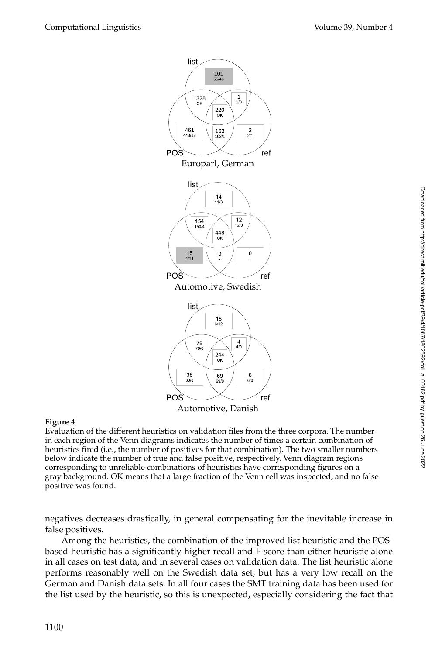

# **Figure 4**

Evaluation of the different heuristics on validation files from the three corpora. The number in each region of the Venn diagrams indicates the number of times a certain combination of heuristics fired (i.e., the number of positives for that combination). The two smaller numbers below indicate the number of true and false positive, respectively. Venn diagram regions corresponding to unreliable combinations of heuristics have corresponding figures on a gray background. OK means that a large fraction of the Venn cell was inspected, and no false positive was found.

negatives decreases drastically, in general compensating for the inevitable increase in false positives.

Among the heuristics, the combination of the improved list heuristic and the POSbased heuristic has a significantly higher recall and F-score than either heuristic alone in all cases on test data, and in several cases on validation data. The list heuristic alone performs reasonably well on the Swedish data set, but has a very low recall on the German and Danish data sets. In all four cases the SMT training data has been used for the list used by the heuristic, so this is unexpected, especially considering the fact that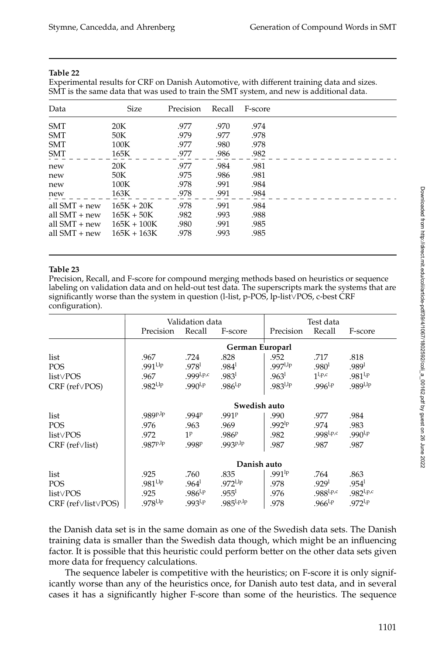#### **Table 22**

Experimental results for CRF on Danish Automotive, with different training data and sizes. SMT is the same data that was used to train the SMT system, and new is additional data.

| Data            | Size          | Precision | Recall | F-score |
|-----------------|---------------|-----------|--------|---------|
| <b>SMT</b>      | 20K           | .977      | .970   | .974    |
| <b>SMT</b>      | 50K           | .979      | .977   | .978    |
| <b>SMT</b>      | 100K          | .977      | .980   | .978    |
| <b>SMT</b>      | 165K          | .977      | .986   | .982    |
| new             | 20K           | .977      | .984   | .981    |
| new             | 50K           | .975      | .986   | .981    |
| new             | 100K          | .978      | .991   | .984    |
| new             | 163K          | .978      | .991   | .984    |
| all $SMT + new$ | $165K + 20K$  | .978      | .991   | .984    |
| all $SMT + new$ | $165K + 50K$  | .982      | .993   | .988    |
| all $SMT + new$ | $165K + 100K$ | .980      | .991   | .985    |
| all $SMT + new$ | $165K + 163K$ | .978      | .993   | .985    |
|                 |               |           |        |         |

#### **Table 23**

Precision, Recall, and F-score for compound merging methods based on heuristics or sequence labeling on validation data and on held-out test data. The superscripts mark the systems that are significantly worse than the system in question (l-list, p-POS, lp-list∨POS, c-best CRF configuration).

|                                    | Validation data   |                   |                   |                    | Test data         |                      |  |
|------------------------------------|-------------------|-------------------|-------------------|--------------------|-------------------|----------------------|--|
|                                    | Precision         | Recall            | F-score           | Precision          | Recall            | F-score              |  |
|                                    | German Europarl   |                   |                   |                    |                   |                      |  |
| list                               | .967              | .724              | .828              | .952               | .717              | .818                 |  |
| <b>POS</b>                         | $.991^{1,1p}$     | .978 <sup>1</sup> | .984 <sup>1</sup> | $.997^{1,1p}$      | .980 <sup>1</sup> | .989 <sup>1</sup>    |  |
| $list \vee POS$                    | .967              | $.999^{1,p,c}$    | .983 <sup>1</sup> | .963 <sup>1</sup>  | $1^{l,p,c}$       | $.981^{1,p}$         |  |
| $CRF$ (ref $\vee$ POS)             | $.982^{1,1p}$     | $.990^{1,p}$      | $.986^{1,p}$      | $.983^{1,1p}$      | $.996^{1,p}$      | .989 <sup>1,1p</sup> |  |
|                                    | Swedish auto      |                   |                   |                    |                   |                      |  |
| list                               | .989P,lp          | .994P             | .991 <sup>p</sup> | .990               | .977              | .984                 |  |
| POS                                | .976              | .963              | .969              | .992 <sup>lp</sup> | .974              | .983                 |  |
| $list \vee POS$                    | .972              | 1 <sup>p</sup>    | .986 <sup>P</sup> | .982               | $.998^{1,p,c}$    | $.990^{1,p}$         |  |
| $CRF$ (ref $\vee$ list)            | .987 <sup>p</sup> | .998P             | $.993P^{lp}$      | .987               | .987              | .987                 |  |
|                                    | Danish auto       |                   |                   |                    |                   |                      |  |
| list                               | .925              | .760              | .835              | $.991^{lp}$        | .764              | .863                 |  |
| <b>POS</b>                         | $.981^{1,1p}$     | .964 <sup>1</sup> | $.972^{1,1p}$     | .978               | .929 <sup>1</sup> | .954 <sup>1</sup>    |  |
| $list \vee POS$                    | .925              | $.986^{1,p}$      | .955 <sup>1</sup> | .976               | $.988^{1,p,c}$    | $.982^{1,p,c}$       |  |
| $CRF$ (ref $\lor$ list $\lor$ POS) | $.978^{\rm l,lp}$ | $.993^{1,p}$      | $.985^{1,p,lp}$   | .978               | $.966^{1,p}$      | $.972^{1,p}$         |  |

the Danish data set is in the same domain as one of the Swedish data sets. The Danish training data is smaller than the Swedish data though, which might be an influencing factor. It is possible that this heuristic could perform better on the other data sets given more data for frequency calculations.

The sequence labeler is competitive with the heuristics; on F-score it is only significantly worse than any of the heuristics once, for Danish auto test data, and in several cases it has a significantly higher F-score than some of the heuristics. The sequence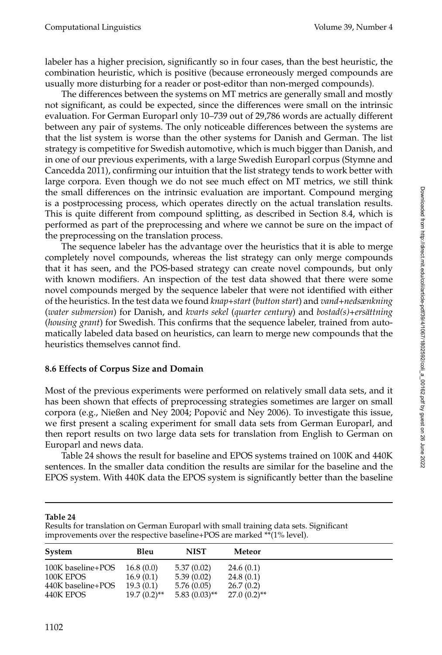labeler has a higher precision, significantly so in four cases, than the best heuristic, the combination heuristic, which is positive (because erroneously merged compounds are usually more disturbing for a reader or post-editor than non-merged compounds).

The differences between the systems on MT metrics are generally small and mostly not significant, as could be expected, since the differences were small on the intrinsic evaluation. For German Europarl only 10–739 out of 29,786 words are actually different between any pair of systems. The only noticeable differences between the systems are that the list system is worse than the other systems for Danish and German. The list strategy is competitive for Swedish automotive, which is much bigger than Danish, and in one of our previous experiments, with a large Swedish Europarl corpus (Stymne and Cancedda 2011), confirming our intuition that the list strategy tends to work better with large corpora. Even though we do not see much effect on MT metrics, we still think the small differences on the intrinsic evaluation are important. Compound merging is a postprocessing process, which operates directly on the actual translation results. This is quite different from compound splitting, as described in Section 8.4, which is performed as part of the preprocessing and where we cannot be sure on the impact of the preprocessing on the translation process.

The sequence labeler has the advantage over the heuristics that it is able to merge completely novel compounds, whereas the list strategy can only merge compounds that it has seen, and the POS-based strategy can create novel compounds, but only with known modifiers. An inspection of the test data showed that there were some novel compounds merged by the sequence labeler that were not identified with either of the heuristics. In the test data we found *knap+start* (*button start*) and *vand+nedsænkning* (*water submersion*) for Danish, and *kvarts sekel* (*quarter century*) and *bostad*(*s*)+ersättning (*housing grant*) for Swedish. This confirms that the sequence labeler, trained from automatically labeled data based on heuristics, can learn to merge new compounds that the heuristics themselves cannot find.

# **8.6 Effects of Corpus Size and Domain**

Most of the previous experiments were performed on relatively small data sets, and it has been shown that effects of preprocessing strategies sometimes are larger on small corpora (e.g., Nießen and Ney 2004; Popovic and Ney 2006). To investigate this issue, ´ we first present a scaling experiment for small data sets from German Europarl, and then report results on two large data sets for translation from English to German on Europarl and news data.

Table 24 shows the result for baseline and EPOS systems trained on 100K and 440K sentences. In the smaller data condition the results are similar for the baseline and the EPOS system. With 440K data the EPOS system is significantly better than the baseline

#### **Table 24**

Results for translation on German Europarl with small training data sets. Significant improvements over the respective baseline+POS are marked \*\*(1% level).

| System            | Bleu           | <b>NIST</b>     | Meteor         |
|-------------------|----------------|-----------------|----------------|
| 100K baseline+POS | 16.8(0.0)      | 5.37(0.02)      | 24.6(0.1)      |
| 100K EPOS         | 16.9(0.1)      | 5.39(0.02)      | 24.8(0.1)      |
| 440K baseline+POS | 19.3(0.1)      | 5.76(0.05)      | 26.7(0.2)      |
| 440K EPOS         | $19.7(0.2)$ ** | $5.83(0.03)$ ** | $27.0(0.2)$ ** |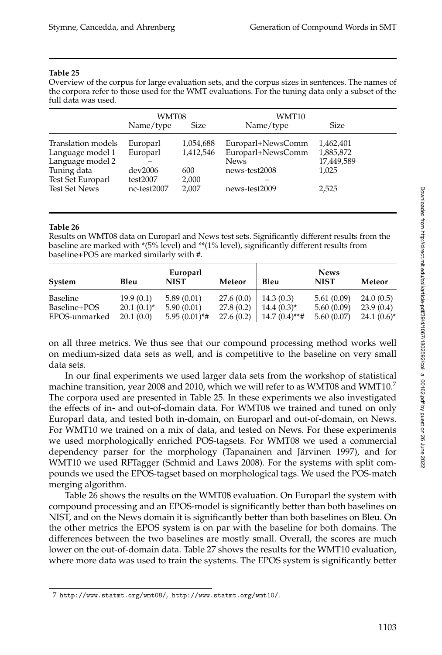#### **Table 25**

Overview of the corpus for large evaluation sets, and the corpus sizes in sentences. The names of the corpora refer to those used for the WMT evaluations. For the tuning data only a subset of the full data was used.

|                                  | WMT08               |              | WMT10             |            |  |
|----------------------------------|---------------------|--------------|-------------------|------------|--|
|                                  | Name/type           | Size         | Name/type         | Size       |  |
| Translation models               | Europarl            | 1,054,688    | Europarl+NewsComm | 1,462,401  |  |
| Language model 1                 | Europarl            | 1,412,546    | Europarl+NewsComm | 1,885,872  |  |
| Language model 2                 |                     |              | <b>News</b>       | 17,449,589 |  |
| Tuning data<br>Test Set Europarl | dev2006<br>test2007 | 600<br>2,000 | news-test2008     | 1,025      |  |
| <b>Test Set News</b>             | nc-test2007         | 2,007        | news-test2009     | 2,525      |  |

#### **Table 26**

Results on WMT08 data on Europarl and News test sets. Significantly different results from the baseline are marked with \*(5% level) and \*\*(1% level), significantly different results from baseline+POS are marked similarly with #.

| System        | Bleu            | Europarl<br><b>NIST</b> | Meteor     | Bleu            | <b>News</b><br><b>NIST</b> | Meteor        |
|---------------|-----------------|-------------------------|------------|-----------------|----------------------------|---------------|
| Baseline      | 19.9(0.1)       | 5.89(0.01)              | 27.6(0.0)  | 14.3(0.3)       | 5.61(0.09)                 | 24.0(0.5)     |
| Baseline+POS  | $20.1(0.1)^{*}$ | 5.90(0.01)              | 27.8(0.2)  | $14.4(0.3)^{*}$ | 5.60(0.09)                 | 23.9(0.4)     |
| EPOS-unmarked | 20.1(0.0)       | $5.95(0.01)*$ #         | 27.6 (0.2) | $14.7(0.4)$ **# | 5.60(0.07)                 | $24.1(0.6)^*$ |

on all three metrics. We thus see that our compound processing method works well on medium-sized data sets as well, and is competitive to the baseline on very small data sets.

In our final experiments we used larger data sets from the workshop of statistical machine transition, year 2008 and 2010, which we will refer to as WMT08 and WMT10.7 The corpora used are presented in Table 25. In these experiments we also investigated the effects of in- and out-of-domain data. For WMT08 we trained and tuned on only Europarl data, and tested both in-domain, on Europarl and out-of-domain, on News. For WMT10 we trained on a mix of data, and tested on News. For these experiments we used morphologically enriched POS-tagsets. For WMT08 we used a commercial dependency parser for the morphology (Tapanainen and Järvinen 1997), and for WMT10 we used RFTagger (Schmid and Laws 2008). For the systems with split compounds we used the EPOS-tagset based on morphological tags. We used the POS-match merging algorithm.

Table 26 shows the results on the WMT08 evaluation. On Europarl the system with compound processing and an EPOS-model is significantly better than both baselines on NIST, and on the News domain it is significantly better than both baselines on Bleu. On the other metrics the EPOS system is on par with the baseline for both domains. The differences between the two baselines are mostly small. Overall, the scores are much lower on the out-of-domain data. Table 27 shows the results for the WMT10 evaluation, where more data was used to train the systems. The EPOS system is significantly better

<sup>7</sup> http://www.statmt.org/wmt08/, http://www.statmt.org/wmt10/.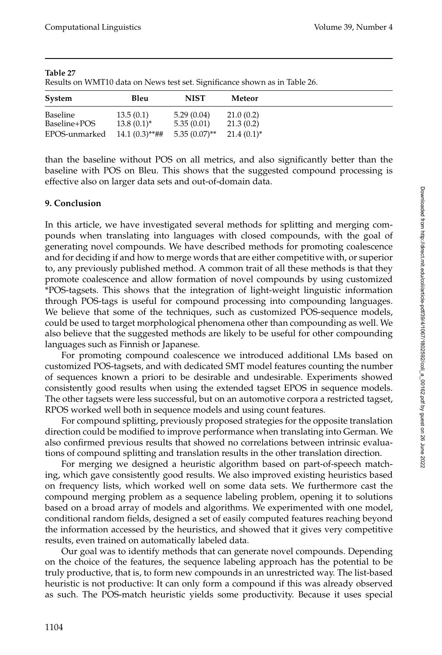| Results on Wint to again on trews icse set. Significance shown as in Table 20. |                  |                 |               |  |  |
|--------------------------------------------------------------------------------|------------------|-----------------|---------------|--|--|
| System                                                                         | Bleu             | <b>NIST</b>     | Meteor        |  |  |
| Baseline                                                                       | 13.5(0.1)        | 5.29(0.04)      | 21.0(0.2)     |  |  |
| Baseline+POS                                                                   | $13.8(0.1)^{*}$  | 5.35(0.01)      | 21.3(0.2)     |  |  |
| EPOS-unmarked                                                                  | $14.1(0.3)$ **## | $5.35(0.07)$ ** | $21.4(0.1)^*$ |  |  |

**Table 27** Results on WMT10 data on News test set. Significance shown as in Table 26.

than the baseline without POS on all metrics, and also significantly better than the baseline with POS on Bleu. This shows that the suggested compound processing is effective also on larger data sets and out-of-domain data.

# **9. Conclusion**

In this article, we have investigated several methods for splitting and merging compounds when translating into languages with closed compounds, with the goal of generating novel compounds. We have described methods for promoting coalescence and for deciding if and how to merge words that are either competitive with, or superior to, any previously published method. A common trait of all these methods is that they promote coalescence and allow formation of novel compounds by using customized \*POS-tagsets. This shows that the integration of light-weight linguistic information through POS-tags is useful for compound processing into compounding languages. We believe that some of the techniques, such as customized POS-sequence models, could be used to target morphological phenomena other than compounding as well. We also believe that the suggested methods are likely to be useful for other compounding languages such as Finnish or Japanese.

For promoting compound coalescence we introduced additional LMs based on customized POS-tagsets, and with dedicated SMT model features counting the number of sequences known a priori to be desirable and undesirable. Experiments showed consistently good results when using the extended tagset EPOS in sequence models. The other tagsets were less successful, but on an automotive corpora a restricted tagset, RPOS worked well both in sequence models and using count features.

For compound splitting, previously proposed strategies for the opposite translation direction could be modified to improve performance when translating into German. We also confirmed previous results that showed no correlations between intrinsic evaluations of compound splitting and translation results in the other translation direction.

For merging we designed a heuristic algorithm based on part-of-speech matching, which gave consistently good results. We also improved existing heuristics based on frequency lists, which worked well on some data sets. We furthermore cast the compound merging problem as a sequence labeling problem, opening it to solutions based on a broad array of models and algorithms. We experimented with one model, conditional random fields, designed a set of easily computed features reaching beyond the information accessed by the heuristics, and showed that it gives very competitive results, even trained on automatically labeled data.

Our goal was to identify methods that can generate novel compounds. Depending on the choice of the features, the sequence labeling approach has the potential to be truly productive, that is, to form new compounds in an unrestricted way. The list-based heuristic is not productive: It can only form a compound if this was already observed as such. The POS-match heuristic yields some productivity. Because it uses special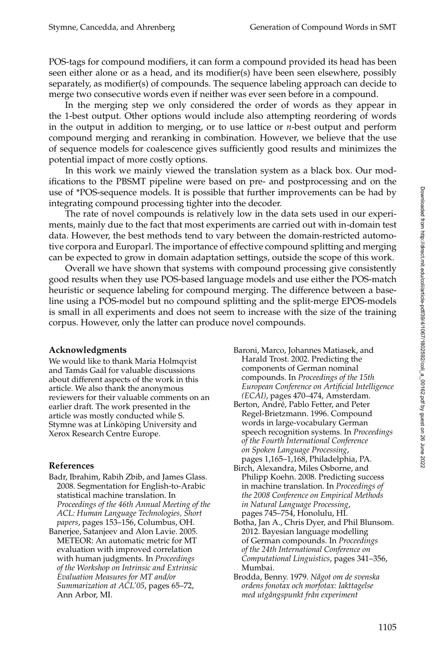POS-tags for compound modifiers, it can form a compound provided its head has been seen either alone or as a head, and its modifier(s) have been seen elsewhere, possibly separately, as modifier(s) of compounds. The sequence labeling approach can decide to merge two consecutive words even if neither was ever seen before in a compound.

In the merging step we only considered the order of words as they appear in the 1-best output. Other options would include also attempting reordering of words in the output in addition to merging, or to use lattice or *n*-best output and perform compound merging and reranking in combination. However, we believe that the use of sequence models for coalescence gives sufficiently good results and minimizes the potential impact of more costly options.

In this work we mainly viewed the translation system as a black box. Our modifications to the PBSMT pipeline were based on pre- and postprocessing and on the use of \*POS-sequence models. It is possible that further improvements can be had by integrating compound processing tighter into the decoder.

The rate of novel compounds is relatively low in the data sets used in our experiments, mainly due to the fact that most experiments are carried out with in-domain test data. However, the best methods tend to vary between the domain-restricted automotive corpora and Europarl. The importance of effective compound splitting and merging can be expected to grow in domain adaptation settings, outside the scope of this work.

Overall we have shown that systems with compound processing give consistently good results when they use POS-based language models and use either the POS-match heuristic or sequence labeling for compound merging. The difference between a baseline using a POS-model but no compound splitting and the split-merge EPOS-models is small in all experiments and does not seem to increase with the size of the training corpus. However, only the latter can produce novel compounds.

#### **Acknowledgments**

We would like to thank Maria Holmqvist and Tamás Gaál for valuable discussions about different aspects of the work in this article. We also thank the anonymous reviewers for their valuable comments on an earlier draft. The work presented in the article was mostly conducted while S. Stymne was at Linköping University and Xerox Research Centre Europe.

# **References**

Badr, Ibrahim, Rabih Zbib, and James Glass. 2008. Segmentation for English-to-Arabic statistical machine translation. In *Proceedings of the 46th Annual Meeting of the ACL: Human Language Technologies, Short papers*, pages 153–156, Columbus, OH.

Banerjee, Satanjeev and Alon Lavie. 2005. METEOR: An automatic metric for MT evaluation with improved correlation with human judgments. In *Proceedings of the Workshop on Intrinsic and Extrinsic Evaluation Measures for MT and/or Summarization at ACL'05*, pages 65–72, Ann Arbor, MI.

- Baroni, Marco, Johannes Matiasek, and Harald Trost. 2002. Predicting the components of German nominal compounds. In *Proceedings of the 15th European Conference on Artificial Intelligence (ECAI)*, pages 470–474, Amsterdam.
- Berton, André, Pablo Fetter, and Peter Regel-Brietzmann. 1996. Compound words in large-vocabulary German speech recognition systems. In *Proceedings of the Fourth International Conference on Spoken Language Processing*, pages 1,165–1,168, Philadelphia, PA.
- Birch, Alexandra, Miles Osborne, and Philipp Koehn. 2008. Predicting success in machine translation. In *Proceedings of the 2008 Conference on Empirical Methods in Natural Language Processing*, pages 745–754, Honolulu, HI.
- Botha, Jan A., Chris Dyer, and Phil Blunsom. 2012. Bayesian language modelling of German compounds. In *Proceedings of the 24th International Conference on Computational Linguistics*, pages 341–356, Mumbai.
- Brodda, Benny. 1979. *N˚agot om de svenska ordens fonotax och morfotax: Iakttagelse med utg˚angspunkt fr˚an experiment*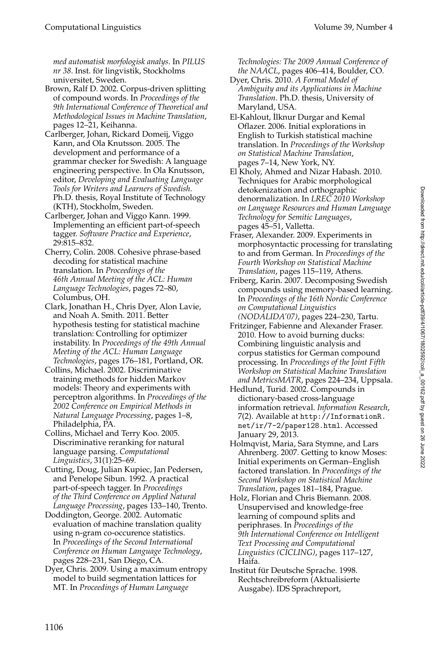*med automatisk morfologisk analys*. In *PILUS nr 38*. Inst. for lingvistik, Stockholms ¨ universitet, Sweden.

- Brown, Ralf D. 2002. Corpus-driven splitting of compound words. In *Proceedings of the 9th International Conference of Theoretical and Methodological Issues in Machine Translation*, pages 12–21, Keihanna.
- Carlberger, Johan, Rickard Domeij, Viggo Kann, and Ola Knutsson. 2005. The development and performance of a grammar checker for Swedish: A language engineering perspective. In Ola Knutsson, editor, *Developing and Evaluating Language Tools for Writers and Learners of Swedish*. Ph.D. thesis, Royal Institute of Technology (KTH), Stockholm, Sweden.
- Carlberger, Johan and Viggo Kann. 1999. Implementing an efficient part-of-speech tagger. *Software Practice and Experience*, 29:815–832.
- Cherry, Colin. 2008. Cohesive phrase-based decoding for statistical machine translation. In *Proceedings of the 46th Annual Meeting of the ACL: Human Language Technologies*, pages 72–80, Columbus, OH.
- Clark, Jonathan H., Chris Dyer, Alon Lavie, and Noah A. Smith. 2011. Better hypothesis testing for statistical machine translation: Controlling for optimizer instability. In *Proceedings of the 49th Annual Meeting of the ACL: Human Language Technologies*, pages 176–181, Portland, OR.
- Collins, Michael. 2002. Discriminative training methods for hidden Markov models: Theory and experiments with perceptron algorithms. In *Proceedings of the 2002 Conference on Empirical Methods in Natural Language Processing*, pages 1–8, Philadelphia, PA.
- Collins, Michael and Terry Koo. 2005. Discriminative reranking for natural language parsing. *Computational Linguistics*, 31(1):25–69.
- Cutting, Doug, Julian Kupiec, Jan Pedersen, and Penelope Sibun. 1992. A practical part-of-speech tagger. In *Proceedings of the Third Conference on Applied Natural Language Processing*, pages 133–140, Trento.
- Doddington, George. 2002. Automatic evaluation of machine translation quality using n-gram co-occurence statistics. In *Proceedings of the Second International Conference on Human Language Technology*, pages 228–231, San Diego, CA.
- Dyer, Chris. 2009. Using a maximum entropy model to build segmentation lattices for MT. In *Proceedings of Human Language*

*Technologies: The 2009 Annual Conference of the NAACL*, pages 406–414, Boulder, CO.

- Dyer, Chris. 2010. *A Formal Model of Ambiguity and its Applications in Machine Translation*. Ph.D. thesis, University of Maryland, USA.
- El-Kahlout, İlknur Durgar and Kemal Oflazer. 2006. Initial explorations in English to Turkish statistical machine translation. In *Proceedings of the Workshop on Statistical Machine Translation*, pages 7–14, New York, NY.
- El Kholy, Ahmed and Nizar Habash. 2010. Techniques for Arabic morphological detokenization and orthographic denormalization. In *LREC 2010 Workshop on Language Resources and Human Language Technology for Semitic Languages*, pages 45–51, Valletta.
- Fraser, Alexander. 2009. Experiments in morphosyntactic processing for translating to and from German. In *Proceedings of the Fourth Workshop on Statistical Machine Translation*, pages 115–119, Athens.
- Friberg, Karin. 2007. Decomposing Swedish compounds using memory-based learning. In *Proceedings of the 16th Nordic Conference on Computational Linguistics (NODALIDA'07)*, pages 224–230, Tartu.
- Fritzinger, Fabienne and Alexander Fraser. 2010. How to avoid burning ducks: Combining linguistic analysis and corpus statistics for German compound processing. In *Proceedings of the Joint Fifth Workshop on Statistical Machine Translation and MetricsMATR*, pages 224–234, Uppsala.
- Hedlund, Turid. 2002. Compounds in dictionary-based cross-language information retrieval. *Information Research*, 7(2). Available at http://InformationR. net/ir/7-2/paper128.html. Accessed January 29, 2013.
- Holmqvist, Maria, Sara Stymne, and Lars Ahrenberg. 2007. Getting to know Moses: Initial experiments on German–English factored translation. In *Proceedings of the Second Workshop on Statistical Machine Translation*, pages 181–184, Prague.
- Holz, Florian and Chris Biemann. 2008. Unsupervised and knowledge-free learning of compound splits and periphrases. In *Proceedings of the 9th International Conference on Intelligent Text Processing and Computational Linguistics (CICLING)*, pages 117–127, Haifa.
- Institut für Deutsche Sprache. 1998. Rechtschreibreform (Aktualisierte Ausgabe). IDS Sprachreport,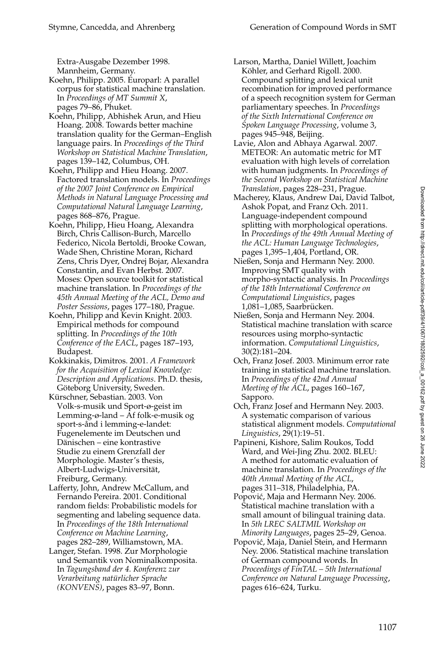Extra-Ausgabe Dezember 1998. Mannheim, Germany.

Koehn, Philipp. 2005. Europarl: A parallel corpus for statistical machine translation. In *Proceedings of MT Summit X*, pages 79–86, Phuket.

- Koehn, Philipp, Abhishek Arun, and Hieu Hoang. 2008. Towards better machine translation quality for the German–English language pairs. In *Proceedings of the Third Workshop on Statistical Machine Translation*, pages 139–142, Columbus, OH.
- Koehn, Philipp and Hieu Hoang. 2007. Factored translation models. In *Proceedings of the 2007 Joint Conference on Empirical Methods in Natural Language Processing and Computational Natural Language Learning*, pages 868–876, Prague.
- Koehn, Philipp, Hieu Hoang, Alexandra Birch, Chris Callison-Burch, Marcello Federico, Nicola Bertoldi, Brooke Cowan, Wade Shen, Christine Moran, Richard Zens, Chris Dyer, Ondrej Bojar, Alexandra Constantin, and Evan Herbst. 2007. Moses: Open source toolkit for statistical machine translation. In *Proceedings of the 45th Annual Meeting of the ACL, Demo and Poster Sessions*, pages 177–180, Prague.
- Koehn, Philipp and Kevin Knight. 2003. Empirical methods for compound splitting. In *Proceedings of the 10th Conference of the EACL*, pages 187–193, Budapest.
- Kokkinakis, Dimitros. 2001. *A Framework for the Acquisition of Lexical Knowledge: Description and Applications*. Ph.D. thesis, Göteborg University, Sweden.

Kürschner, Sebastian. 2003. Von Volk-s-musik und Sport-ø-geist im Lemming-ø-land – Af folk-e-musik og sport-s-ånd i lemming-e-landet: Fugenelemente im Deutschen und Dänischen – eine kontrastive Studie zu einem Grenzfall der Morphologie. Master's thesis, Albert-Ludwigs-Universitat, ¨ Freiburg, Germany.

- Lafferty, John, Andrew McCallum, and Fernando Pereira. 2001. Conditional random fields: Probabilistic models for segmenting and labeling sequence data. In *Proceedings of the 18th International Conference on Machine Learning*, pages 282–289, Williamstown, MA.
- Langer, Stefan. 1998. Zur Morphologie und Semantik von Nominalkomposita. In *Tagungsband der 4. Konferenz zur Verarbeitung nat¨urlicher Sprache (KONVENS)*, pages 83–97, Bonn.
- Larson, Martha, Daniel Willett, Joachim Köhler, and Gerhard Rigoll. 2000. Compound splitting and lexical unit recombination for improved performance of a speech recognition system for German parliamentary speeches. In *Proceedings of the Sixth International Conference on Spoken Language Processing*, volume 3, pages 945–948, Beijing.
- Lavie, Alon and Abhaya Agarwal. 2007. METEOR: An automatic metric for MT evaluation with high levels of correlation with human judgments. In *Proceedings of the Second Workshop on Statistical Machine Translation*, pages 228–231, Prague.
- Macherey, Klaus, Andrew Dai, David Talbot, Ashok Popat, and Franz Och. 2011. Language-independent compound splitting with morphological operations. In *Proceedings of the 49th Annual Meeting of the ACL: Human Language Technologies*, pages 1,395–1,404, Portland, OR.
- Nießen, Sonja and Hermann Ney. 2000. Improving SMT quality with morpho-syntactic analysis. In *Proceedings of the 18th International Conference on Computational Linguistics*, pages 1,081-1,085, Saarbrücken.
- Nießen, Sonja and Hermann Ney. 2004. Statistical machine translation with scarce resources using morpho-syntactic information. *Computational Linguistics*, 30(2):181–204.
- Och, Franz Josef. 2003. Minimum error rate training in statistical machine translation. In *Proceedings of the 42nd Annual Meeting of the ACL*, pages 160–167, Sapporo.
- Och, Franz Josef and Hermann Ney. 2003. A systematic comparison of various statistical alignment models. *Computational Linguistics*, 29(1):19–51.
- Papineni, Kishore, Salim Roukos, Todd Ward, and Wei-Jing Zhu. 2002. BLEU: A method for automatic evaluation of machine translation. In *Proceedings of the 40th Annual Meeting of the ACL*, pages 311–318, Philadelphia, PA.
- Popović, Maja and Hermann Ney. 2006. Statistical machine translation with a small amount of bilingual training data. In *5th LREC SALTMIL Workshop on Minority Languages*, pages 25–29, Genoa.
- Popovic, Maja, Daniel Stein, and Hermann ´ Ney. 2006. Statistical machine translation of German compound words. In *Proceedings of FinTAL – 5th International Conference on Natural Language Processing*, pages 616–624, Turku.